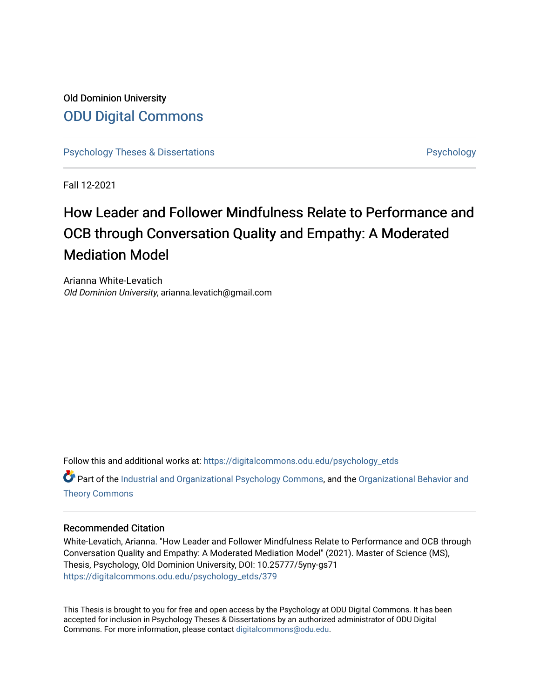## Old Dominion University [ODU Digital Commons](https://digitalcommons.odu.edu/)

[Psychology Theses & Dissertations](https://digitalcommons.odu.edu/psychology_etds) **Psychology** [Psychology](https://digitalcommons.odu.edu/psychology) **Psychology** 

Fall 12-2021

## How Leader and Follower Mindfulness Relate to Performance and OCB through Conversation Quality and Empathy: A Moderated Mediation Model

Arianna White-Levatich Old Dominion University, arianna.levatich@gmail.com

Follow this and additional works at: [https://digitalcommons.odu.edu/psychology\\_etds](https://digitalcommons.odu.edu/psychology_etds?utm_source=digitalcommons.odu.edu%2Fpsychology_etds%2F379&utm_medium=PDF&utm_campaign=PDFCoverPages)

Part of the [Industrial and Organizational Psychology Commons,](http://network.bepress.com/hgg/discipline/412?utm_source=digitalcommons.odu.edu%2Fpsychology_etds%2F379&utm_medium=PDF&utm_campaign=PDFCoverPages) and the [Organizational Behavior and](http://network.bepress.com/hgg/discipline/639?utm_source=digitalcommons.odu.edu%2Fpsychology_etds%2F379&utm_medium=PDF&utm_campaign=PDFCoverPages) [Theory Commons](http://network.bepress.com/hgg/discipline/639?utm_source=digitalcommons.odu.edu%2Fpsychology_etds%2F379&utm_medium=PDF&utm_campaign=PDFCoverPages)

#### Recommended Citation

White-Levatich, Arianna. "How Leader and Follower Mindfulness Relate to Performance and OCB through Conversation Quality and Empathy: A Moderated Mediation Model" (2021). Master of Science (MS), Thesis, Psychology, Old Dominion University, DOI: 10.25777/5yny-gs71 [https://digitalcommons.odu.edu/psychology\\_etds/379](https://digitalcommons.odu.edu/psychology_etds/379?utm_source=digitalcommons.odu.edu%2Fpsychology_etds%2F379&utm_medium=PDF&utm_campaign=PDFCoverPages)

This Thesis is brought to you for free and open access by the Psychology at ODU Digital Commons. It has been accepted for inclusion in Psychology Theses & Dissertations by an authorized administrator of ODU Digital Commons. For more information, please contact [digitalcommons@odu.edu](mailto:digitalcommons@odu.edu).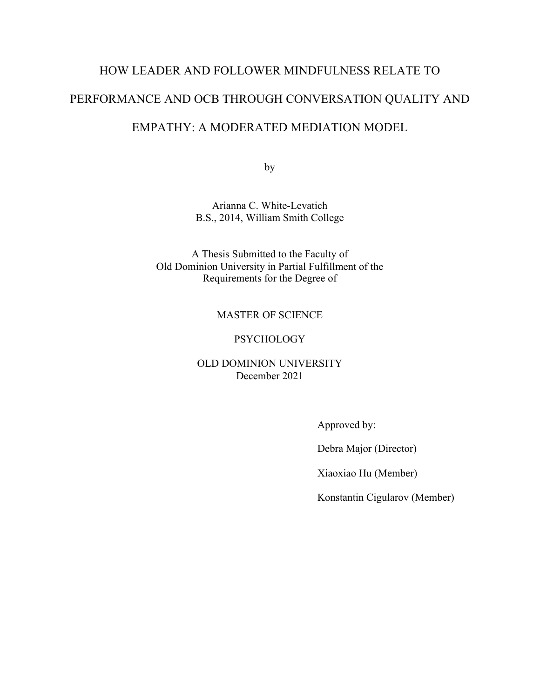# HOW LEADER AND FOLLOWER MINDFULNESS RELATE TO PERFORMANCE AND OCB THROUGH CONVERSATION QUALITY AND EMPATHY: A MODERATED MEDIATION MODEL

by

Arianna C. White-Levatich B.S., 2014, William Smith College

A Thesis Submitted to the Faculty of Old Dominion University in Partial Fulfillment of the Requirements for the Degree of

#### MASTER OF SCIENCE

#### **PSYCHOLOGY**

### OLD DOMINION UNIVERSITY December 2021

Approved by:

Debra Major (Director)

Xiaoxiao Hu (Member)

Konstantin Cigularov (Member)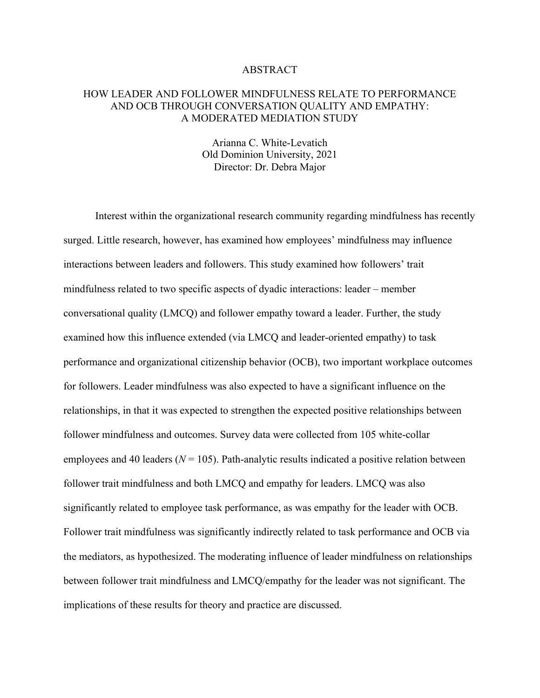#### ABSTRACT

#### HOW LEADER AND FOLLOWER MINDFULNESS RELATE TO PERFORMANCE AND OCB THROUGH CONVERSATION QUALITY AND EMPATHY: A MODERATED MEDIATION STUDY

Arianna C. White-Levatich Old Dominion University, 2021 Director: Dr. Debra Major

Interest within the organizational research community regarding mindfulness has recently surged. Little research, however, has examined how employees' mindfulness may influence interactions between leaders and followers. This study examined how followers' trait mindfulness related to two specific aspects of dyadic interactions: leader – member conversational quality (LMCQ) and follower empathy toward a leader. Further, the study examined how this influence extended (via LMCQ and leader-oriented empathy) to task performance and organizational citizenship behavior (OCB), two important workplace outcomes for followers. Leader mindfulness was also expected to have a significant influence on the relationships, in that it was expected to strengthen the expected positive relationships between follower mindfulness and outcomes. Survey data were collected from 105 white-collar employees and 40 leaders  $(N = 105)$ . Path-analytic results indicated a positive relation between follower trait mindfulness and both LMCQ and empathy for leaders. LMCQ was also significantly related to employee task performance, as was empathy for the leader with OCB. Follower trait mindfulness was significantly indirectly related to task performance and OCB via the mediators, as hypothesized. The moderating influence of leader mindfulness on relationships between follower trait mindfulness and LMCQ/empathy for the leader was not significant. The implications of these results for theory and practice are discussed.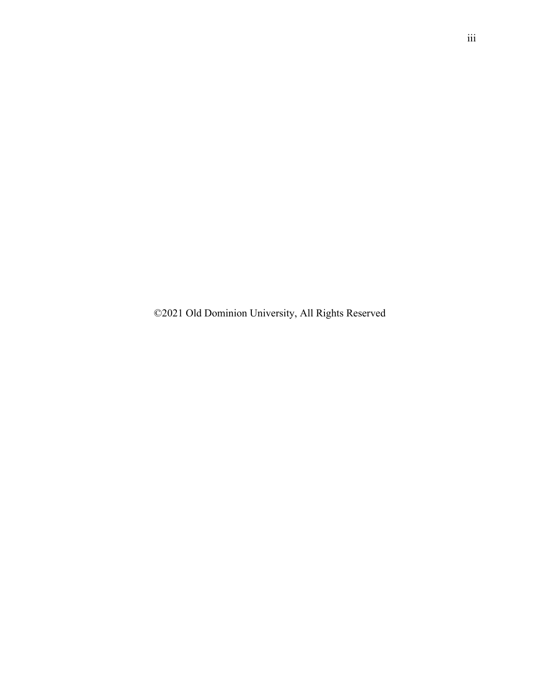©2021 Old Dominion University, All Rights Reserved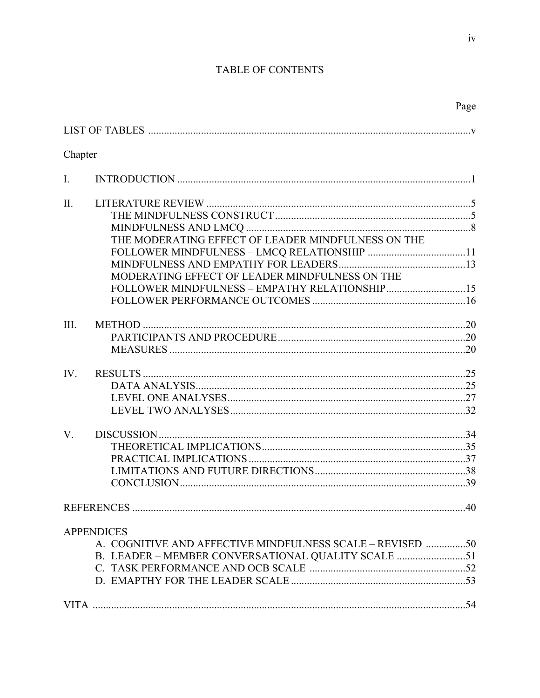## TABLE OF CONTENTS

| Chapter        |                                                           |     |
|----------------|-----------------------------------------------------------|-----|
| $\mathbf{I}$ . |                                                           |     |
|                |                                                           |     |
| II.            |                                                           |     |
|                |                                                           |     |
|                |                                                           |     |
|                | THE MODERATING EFFECT OF LEADER MINDFULNESS ON THE        |     |
|                |                                                           |     |
|                |                                                           |     |
|                | MODERATING EFFECT OF LEADER MINDFULNESS ON THE            |     |
|                | FOLLOWER MINDFULNESS - EMPATHY RELATIONSHIP15             |     |
|                |                                                           |     |
|                |                                                           |     |
| III.           |                                                           |     |
|                |                                                           |     |
|                |                                                           |     |
| IV.            |                                                           |     |
|                |                                                           |     |
|                |                                                           |     |
|                |                                                           |     |
|                |                                                           |     |
| V.             |                                                           |     |
|                |                                                           |     |
|                |                                                           |     |
|                |                                                           |     |
|                |                                                           |     |
|                | <b>REFERENCES.</b>                                        | .40 |
|                |                                                           |     |
|                | <b>APPENDICES</b>                                         |     |
|                | A. COGNITIVE AND AFFECTIVE MINDFULNESS SCALE - REVISED 50 |     |
|                | B. LEADER - MEMBER CONVERSATIONAL QUALITY SCALE 51        |     |
|                |                                                           |     |
|                |                                                           |     |
|                |                                                           |     |
|                |                                                           |     |

Page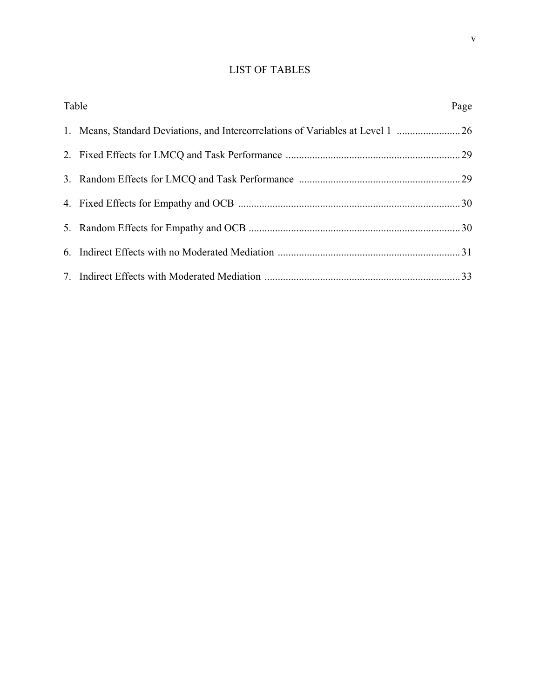## LIST OF TABLES

| Table                                                                            | Page |
|----------------------------------------------------------------------------------|------|
| 1. Means, Standard Deviations, and Intercorrelations of Variables at Level 1  26 |      |
|                                                                                  |      |
|                                                                                  |      |
|                                                                                  |      |
|                                                                                  |      |
|                                                                                  |      |
|                                                                                  |      |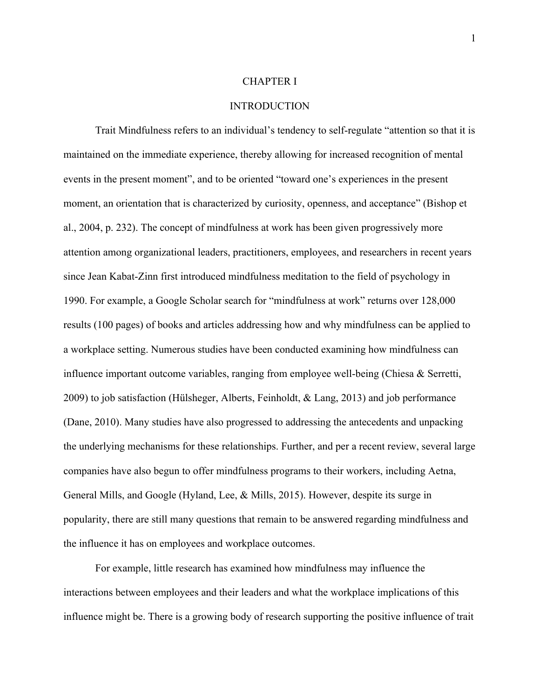#### CHAPTER I

#### INTRODUCTION

Trait Mindfulness refers to an individual's tendency to self-regulate "attention so that it is maintained on the immediate experience, thereby allowing for increased recognition of mental events in the present moment", and to be oriented "toward one's experiences in the present moment, an orientation that is characterized by curiosity, openness, and acceptance" (Bishop et al., 2004, p. 232). The concept of mindfulness at work has been given progressively more attention among organizational leaders, practitioners, employees, and researchers in recent years since Jean Kabat-Zinn first introduced mindfulness meditation to the field of psychology in 1990. For example, a Google Scholar search for "mindfulness at work" returns over 128,000 results (100 pages) of books and articles addressing how and why mindfulness can be applied to a workplace setting. Numerous studies have been conducted examining how mindfulness can influence important outcome variables, ranging from employee well-being (Chiesa & Serretti, 2009) to job satisfaction (Hülsheger, Alberts, Feinholdt, & Lang, 2013) and job performance (Dane, 2010). Many studies have also progressed to addressing the antecedents and unpacking the underlying mechanisms for these relationships. Further, and per a recent review, several large companies have also begun to offer mindfulness programs to their workers, including Aetna, General Mills, and Google (Hyland, Lee, & Mills, 2015). However, despite its surge in popularity, there are still many questions that remain to be answered regarding mindfulness and the influence it has on employees and workplace outcomes.

For example, little research has examined how mindfulness may influence the interactions between employees and their leaders and what the workplace implications of this influence might be. There is a growing body of research supporting the positive influence of trait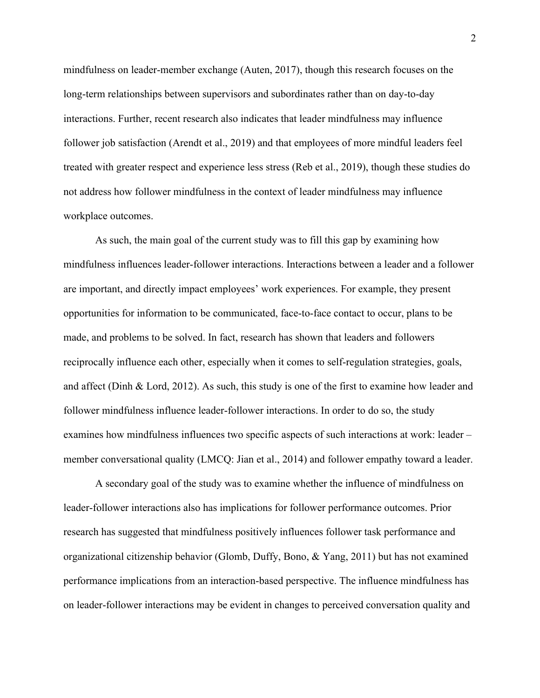mindfulness on leader-member exchange (Auten, 2017), though this research focuses on the long-term relationships between supervisors and subordinates rather than on day-to-day interactions. Further, recent research also indicates that leader mindfulness may influence follower job satisfaction (Arendt et al., 2019) and that employees of more mindful leaders feel treated with greater respect and experience less stress (Reb et al., 2019), though these studies do not address how follower mindfulness in the context of leader mindfulness may influence workplace outcomes.

As such, the main goal of the current study was to fill this gap by examining how mindfulness influences leader-follower interactions. Interactions between a leader and a follower are important, and directly impact employees' work experiences. For example, they present opportunities for information to be communicated, face-to-face contact to occur, plans to be made, and problems to be solved. In fact, research has shown that leaders and followers reciprocally influence each other, especially when it comes to self-regulation strategies, goals, and affect (Dinh & Lord, 2012). As such, this study is one of the first to examine how leader and follower mindfulness influence leader-follower interactions. In order to do so, the study examines how mindfulness influences two specific aspects of such interactions at work: leader – member conversational quality (LMCQ: Jian et al., 2014) and follower empathy toward a leader.

A secondary goal of the study was to examine whether the influence of mindfulness on leader-follower interactions also has implications for follower performance outcomes. Prior research has suggested that mindfulness positively influences follower task performance and organizational citizenship behavior (Glomb, Duffy, Bono, & Yang, 2011) but has not examined performance implications from an interaction-based perspective. The influence mindfulness has on leader-follower interactions may be evident in changes to perceived conversation quality and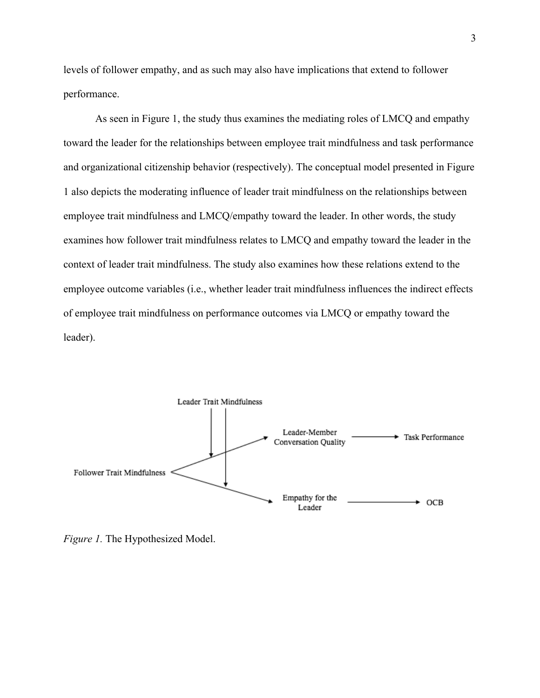levels of follower empathy, and as such may also have implications that extend to follower performance.

As seen in Figure 1, the study thus examines the mediating roles of LMCQ and empathy toward the leader for the relationships between employee trait mindfulness and task performance and organizational citizenship behavior (respectively). The conceptual model presented in Figure 1 also depicts the moderating influence of leader trait mindfulness on the relationships between employee trait mindfulness and LMCQ/empathy toward the leader. In other words, the study examines how follower trait mindfulness relates to LMCQ and empathy toward the leader in the context of leader trait mindfulness. The study also examines how these relations extend to the employee outcome variables (i.e., whether leader trait mindfulness influences the indirect effects of employee trait mindfulness on performance outcomes via LMCQ or empathy toward the leader).



*Figure 1.* The Hypothesized Model.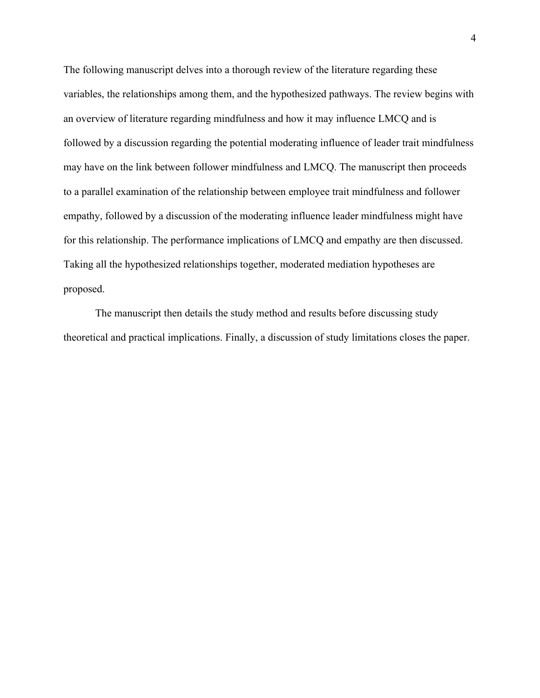The following manuscript delves into a thorough review of the literature regarding these variables, the relationships among them, and the hypothesized pathways. The review begins with an overview of literature regarding mindfulness and how it may influence LMCQ and is followed by a discussion regarding the potential moderating influence of leader trait mindfulness may have on the link between follower mindfulness and LMCQ. The manuscript then proceeds to a parallel examination of the relationship between employee trait mindfulness and follower empathy, followed by a discussion of the moderating influence leader mindfulness might have for this relationship. The performance implications of LMCQ and empathy are then discussed. Taking all the hypothesized relationships together, moderated mediation hypotheses are proposed.

The manuscript then details the study method and results before discussing study theoretical and practical implications. Finally, a discussion of study limitations closes the paper.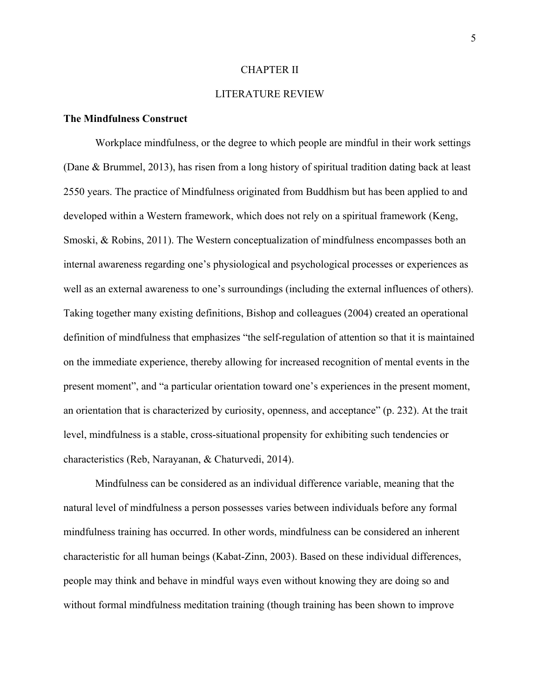#### CHAPTER II

#### LITERATURE REVIEW

#### **The Mindfulness Construct**

Workplace mindfulness, or the degree to which people are mindful in their work settings (Dane & Brummel, 2013), has risen from a long history of spiritual tradition dating back at least 2550 years. The practice of Mindfulness originated from Buddhism but has been applied to and developed within a Western framework, which does not rely on a spiritual framework (Keng, Smoski, & Robins, 2011). The Western conceptualization of mindfulness encompasses both an internal awareness regarding one's physiological and psychological processes or experiences as well as an external awareness to one's surroundings (including the external influences of others). Taking together many existing definitions, Bishop and colleagues (2004) created an operational definition of mindfulness that emphasizes "the self-regulation of attention so that it is maintained on the immediate experience, thereby allowing for increased recognition of mental events in the present moment", and "a particular orientation toward one's experiences in the present moment, an orientation that is characterized by curiosity, openness, and acceptance" (p. 232). At the trait level, mindfulness is a stable, cross-situational propensity for exhibiting such tendencies or characteristics (Reb, Narayanan, & Chaturvedi, 2014).

Mindfulness can be considered as an individual difference variable, meaning that the natural level of mindfulness a person possesses varies between individuals before any formal mindfulness training has occurred. In other words, mindfulness can be considered an inherent characteristic for all human beings (Kabat-Zinn, 2003). Based on these individual differences, people may think and behave in mindful ways even without knowing they are doing so and without formal mindfulness meditation training (though training has been shown to improve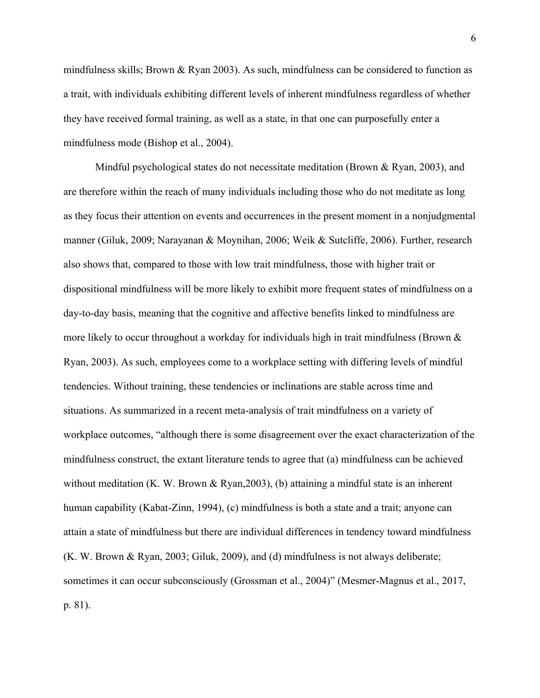mindfulness skills; Brown & Ryan 2003). As such, mindfulness can be considered to function as a trait, with individuals exhibiting different levels of inherent mindfulness regardless of whether they have received formal training, as well as a state, in that one can purposefully enter a mindfulness mode (Bishop et al., 2004).

Mindful psychological states do not necessitate meditation (Brown & Ryan, 2003), and are therefore within the reach of many individuals including those who do not meditate as long as they focus their attention on events and occurrences in the present moment in a nonjudgmental manner (Giluk, 2009; Narayanan & Moynihan, 2006; Weik & Sutcliffe, 2006). Further, research also shows that, compared to those with low trait mindfulness, those with higher trait or dispositional mindfulness will be more likely to exhibit more frequent states of mindfulness on a day-to-day basis, meaning that the cognitive and affective benefits linked to mindfulness are more likely to occur throughout a workday for individuals high in trait mindfulness (Brown & Ryan, 2003). As such, employees come to a workplace setting with differing levels of mindful tendencies. Without training, these tendencies or inclinations are stable across time and situations. As summarized in a recent meta-analysis of trait mindfulness on a variety of workplace outcomes, "although there is some disagreement over the exact characterization of the mindfulness construct, the extant literature tends to agree that (a) mindfulness can be achieved without meditation (K. W. Brown & Ryan, 2003), (b) attaining a mindful state is an inherent human capability (Kabat-Zinn, 1994), (c) mindfulness is both a state and a trait; anyone can attain a state of mindfulness but there are individual differences in tendency toward mindfulness (K. W. Brown & Ryan, 2003; Giluk, 2009), and (d) mindfulness is not always deliberate; sometimes it can occur subconsciously (Grossman et al., 2004)" (Mesmer-Magnus et al., 2017, p. 81).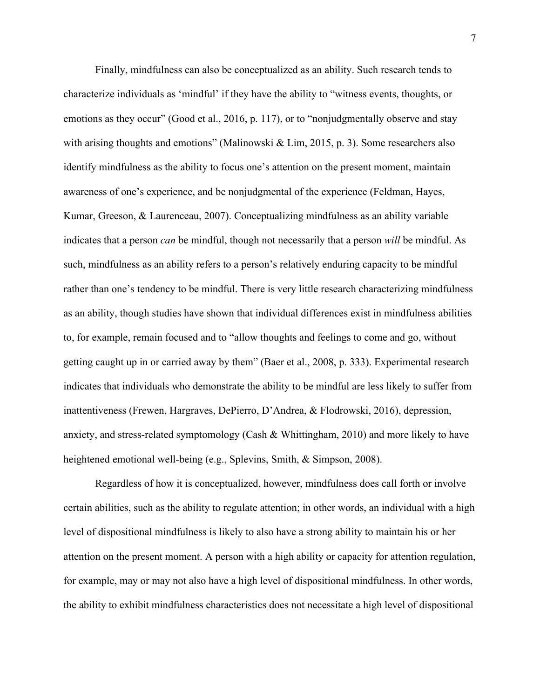Finally, mindfulness can also be conceptualized as an ability. Such research tends to characterize individuals as 'mindful' if they have the ability to "witness events, thoughts, or emotions as they occur" (Good et al., 2016, p. 117), or to "nonjudgmentally observe and stay with arising thoughts and emotions" (Malinowski & Lim, 2015, p. 3). Some researchers also identify mindfulness as the ability to focus one's attention on the present moment, maintain awareness of one's experience, and be nonjudgmental of the experience (Feldman, Hayes, Kumar, Greeson, & Laurenceau, 2007). Conceptualizing mindfulness as an ability variable indicates that a person *can* be mindful, though not necessarily that a person *will* be mindful. As such, mindfulness as an ability refers to a person's relatively enduring capacity to be mindful rather than one's tendency to be mindful. There is very little research characterizing mindfulness as an ability, though studies have shown that individual differences exist in mindfulness abilities to, for example, remain focused and to "allow thoughts and feelings to come and go, without getting caught up in or carried away by them" (Baer et al., 2008, p. 333). Experimental research indicates that individuals who demonstrate the ability to be mindful are less likely to suffer from inattentiveness (Frewen, Hargraves, DePierro, D'Andrea, & Flodrowski, 2016), depression, anxiety, and stress-related symptomology (Cash & Whittingham, 2010) and more likely to have heightened emotional well-being (e.g., Splevins, Smith, & Simpson, 2008).

Regardless of how it is conceptualized, however, mindfulness does call forth or involve certain abilities, such as the ability to regulate attention; in other words, an individual with a high level of dispositional mindfulness is likely to also have a strong ability to maintain his or her attention on the present moment. A person with a high ability or capacity for attention regulation, for example, may or may not also have a high level of dispositional mindfulness. In other words, the ability to exhibit mindfulness characteristics does not necessitate a high level of dispositional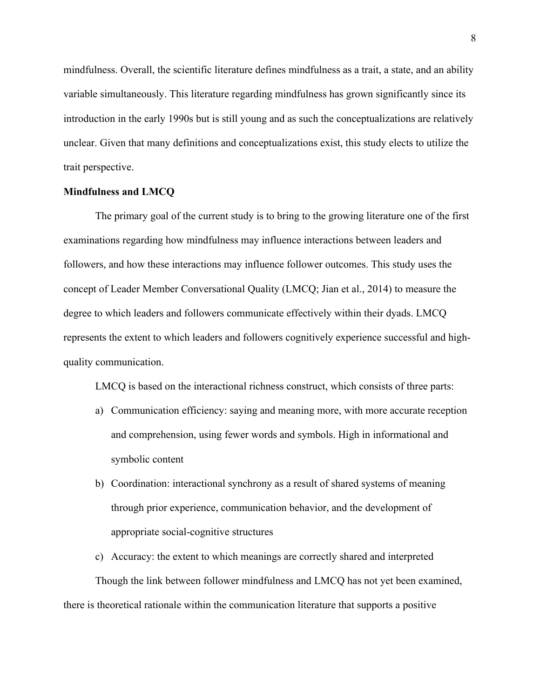mindfulness. Overall, the scientific literature defines mindfulness as a trait, a state, and an ability variable simultaneously. This literature regarding mindfulness has grown significantly since its introduction in the early 1990s but is still young and as such the conceptualizations are relatively unclear. Given that many definitions and conceptualizations exist, this study elects to utilize the trait perspective.

#### **Mindfulness and LMCQ**

The primary goal of the current study is to bring to the growing literature one of the first examinations regarding how mindfulness may influence interactions between leaders and followers, and how these interactions may influence follower outcomes. This study uses the concept of Leader Member Conversational Quality (LMCQ; Jian et al., 2014) to measure the degree to which leaders and followers communicate effectively within their dyads. LMCQ represents the extent to which leaders and followers cognitively experience successful and highquality communication.

LMCQ is based on the interactional richness construct, which consists of three parts:

- a) Communication efficiency: saying and meaning more, with more accurate reception and comprehension, using fewer words and symbols. High in informational and symbolic content
- b) Coordination: interactional synchrony as a result of shared systems of meaning through prior experience, communication behavior, and the development of appropriate social-cognitive structures
- c) Accuracy: the extent to which meanings are correctly shared and interpreted Though the link between follower mindfulness and LMCQ has not yet been examined, there is theoretical rationale within the communication literature that supports a positive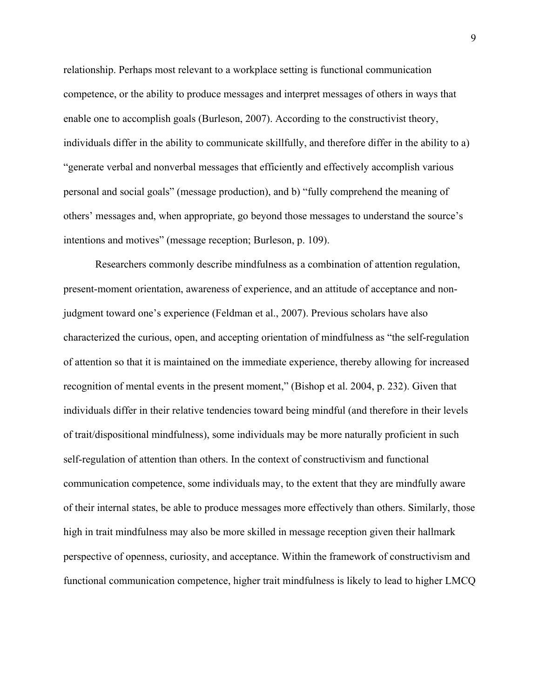relationship. Perhaps most relevant to a workplace setting is functional communication competence, or the ability to produce messages and interpret messages of others in ways that enable one to accomplish goals (Burleson, 2007). According to the constructivist theory, individuals differ in the ability to communicate skillfully, and therefore differ in the ability to a) "generate verbal and nonverbal messages that efficiently and effectively accomplish various personal and social goals" (message production), and b) "fully comprehend the meaning of others' messages and, when appropriate, go beyond those messages to understand the source's intentions and motives" (message reception; Burleson, p. 109).

Researchers commonly describe mindfulness as a combination of attention regulation, present-moment orientation, awareness of experience, and an attitude of acceptance and nonjudgment toward one's experience (Feldman et al., 2007). Previous scholars have also characterized the curious, open, and accepting orientation of mindfulness as "the self-regulation of attention so that it is maintained on the immediate experience, thereby allowing for increased recognition of mental events in the present moment," (Bishop et al. 2004, p. 232). Given that individuals differ in their relative tendencies toward being mindful (and therefore in their levels of trait/dispositional mindfulness), some individuals may be more naturally proficient in such self-regulation of attention than others. In the context of constructivism and functional communication competence, some individuals may, to the extent that they are mindfully aware of their internal states, be able to produce messages more effectively than others. Similarly, those high in trait mindfulness may also be more skilled in message reception given their hallmark perspective of openness, curiosity, and acceptance. Within the framework of constructivism and functional communication competence, higher trait mindfulness is likely to lead to higher LMCQ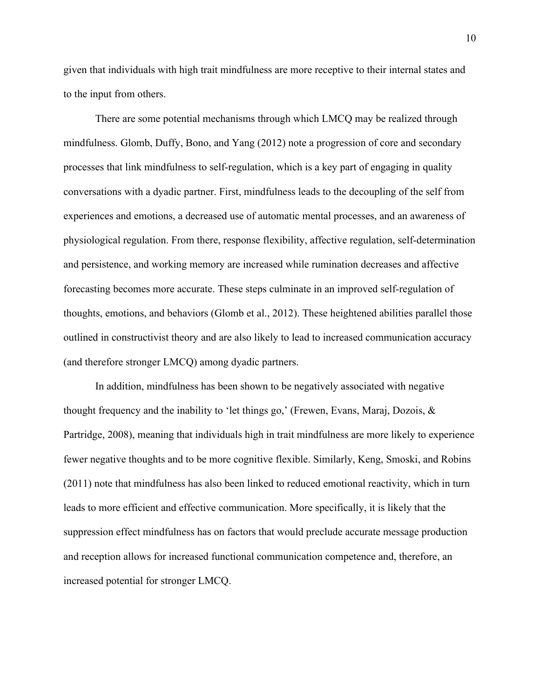given that individuals with high trait mindfulness are more receptive to their internal states and to the input from others.

There are some potential mechanisms through which LMCQ may be realized through mindfulness. Glomb, Duffy, Bono, and Yang (2012) note a progression of core and secondary processes that link mindfulness to self-regulation, which is a key part of engaging in quality conversations with a dyadic partner. First, mindfulness leads to the decoupling of the self from experiences and emotions, a decreased use of automatic mental processes, and an awareness of physiological regulation. From there, response flexibility, affective regulation, self-determination and persistence, and working memory are increased while rumination decreases and affective forecasting becomes more accurate. These steps culminate in an improved self-regulation of thoughts, emotions, and behaviors (Glomb et al., 2012). These heightened abilities parallel those outlined in constructivist theory and are also likely to lead to increased communication accuracy (and therefore stronger LMCQ) among dyadic partners.

In addition, mindfulness has been shown to be negatively associated with negative thought frequency and the inability to 'let things go,' (Frewen, Evans, Maraj, Dozois,  $\&$ Partridge, 2008), meaning that individuals high in trait mindfulness are more likely to experience fewer negative thoughts and to be more cognitive flexible. Similarly, Keng, Smoski, and Robins (2011) note that mindfulness has also been linked to reduced emotional reactivity, which in turn leads to more efficient and effective communication. More specifically, it is likely that the suppression effect mindfulness has on factors that would preclude accurate message production and reception allows for increased functional communication competence and, therefore, an increased potential for stronger LMCQ.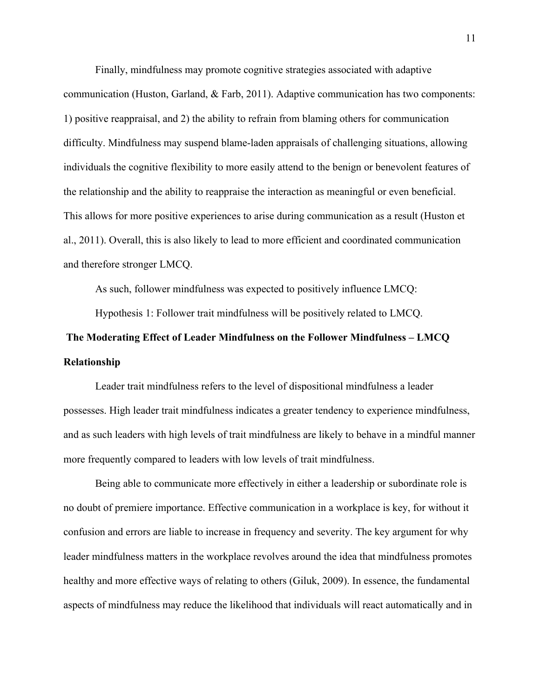Finally, mindfulness may promote cognitive strategies associated with adaptive communication (Huston, Garland, & Farb, 2011). Adaptive communication has two components: 1) positive reappraisal, and 2) the ability to refrain from blaming others for communication difficulty. Mindfulness may suspend blame-laden appraisals of challenging situations, allowing individuals the cognitive flexibility to more easily attend to the benign or benevolent features of the relationship and the ability to reappraise the interaction as meaningful or even beneficial. This allows for more positive experiences to arise during communication as a result (Huston et al., 2011). Overall, this is also likely to lead to more efficient and coordinated communication and therefore stronger LMCQ.

As such, follower mindfulness was expected to positively influence LMCQ:

Hypothesis 1: Follower trait mindfulness will be positively related to LMCQ.

## **The Moderating Effect of Leader Mindfulness on the Follower Mindfulness – LMCQ Relationship**

Leader trait mindfulness refers to the level of dispositional mindfulness a leader possesses. High leader trait mindfulness indicates a greater tendency to experience mindfulness, and as such leaders with high levels of trait mindfulness are likely to behave in a mindful manner more frequently compared to leaders with low levels of trait mindfulness.

Being able to communicate more effectively in either a leadership or subordinate role is no doubt of premiere importance. Effective communication in a workplace is key, for without it confusion and errors are liable to increase in frequency and severity. The key argument for why leader mindfulness matters in the workplace revolves around the idea that mindfulness promotes healthy and more effective ways of relating to others (Giluk, 2009). In essence, the fundamental aspects of mindfulness may reduce the likelihood that individuals will react automatically and in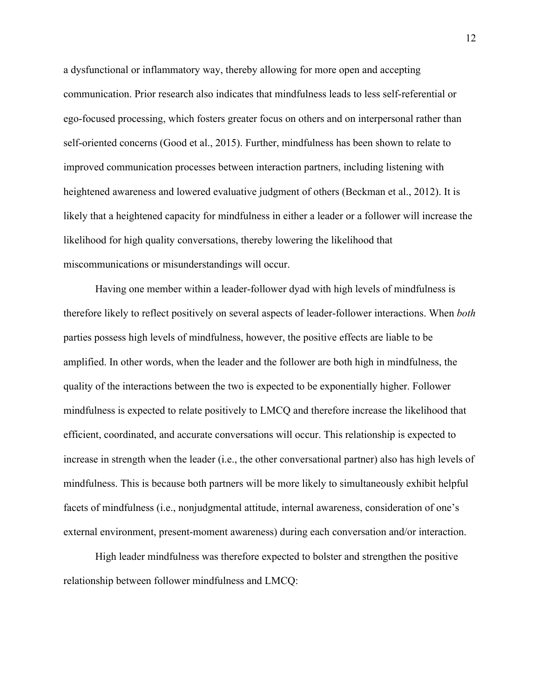a dysfunctional or inflammatory way, thereby allowing for more open and accepting communication. Prior research also indicates that mindfulness leads to less self-referential or ego-focused processing, which fosters greater focus on others and on interpersonal rather than self-oriented concerns (Good et al., 2015). Further, mindfulness has been shown to relate to improved communication processes between interaction partners, including listening with heightened awareness and lowered evaluative judgment of others (Beckman et al., 2012). It is likely that a heightened capacity for mindfulness in either a leader or a follower will increase the likelihood for high quality conversations, thereby lowering the likelihood that miscommunications or misunderstandings will occur.

Having one member within a leader-follower dyad with high levels of mindfulness is therefore likely to reflect positively on several aspects of leader-follower interactions. When *both* parties possess high levels of mindfulness, however, the positive effects are liable to be amplified. In other words, when the leader and the follower are both high in mindfulness, the quality of the interactions between the two is expected to be exponentially higher. Follower mindfulness is expected to relate positively to LMCQ and therefore increase the likelihood that efficient, coordinated, and accurate conversations will occur. This relationship is expected to increase in strength when the leader (i.e., the other conversational partner) also has high levels of mindfulness. This is because both partners will be more likely to simultaneously exhibit helpful facets of mindfulness (i.e., nonjudgmental attitude, internal awareness, consideration of one's external environment, present-moment awareness) during each conversation and/or interaction.

High leader mindfulness was therefore expected to bolster and strengthen the positive relationship between follower mindfulness and LMCQ: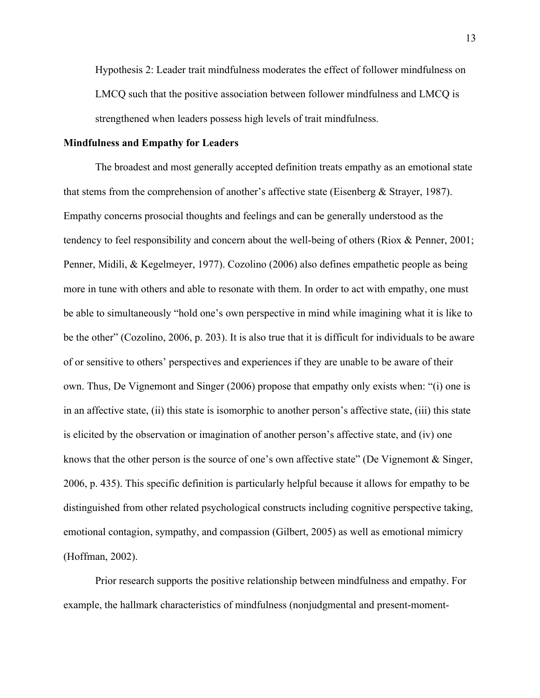Hypothesis 2: Leader trait mindfulness moderates the effect of follower mindfulness on LMCQ such that the positive association between follower mindfulness and LMCQ is strengthened when leaders possess high levels of trait mindfulness.

#### **Mindfulness and Empathy for Leaders**

The broadest and most generally accepted definition treats empathy as an emotional state that stems from the comprehension of another's affective state (Eisenberg & Strayer, 1987). Empathy concerns prosocial thoughts and feelings and can be generally understood as the tendency to feel responsibility and concern about the well-being of others (Riox & Penner, 2001; Penner, Midili, & Kegelmeyer, 1977). Cozolino (2006) also defines empathetic people as being more in tune with others and able to resonate with them. In order to act with empathy, one must be able to simultaneously "hold one's own perspective in mind while imagining what it is like to be the other" (Cozolino, 2006, p. 203). It is also true that it is difficult for individuals to be aware of or sensitive to others' perspectives and experiences if they are unable to be aware of their own. Thus, De Vignemont and Singer (2006) propose that empathy only exists when: "(i) one is in an affective state, (ii) this state is isomorphic to another person's affective state, (iii) this state is elicited by the observation or imagination of another person's affective state, and (iv) one knows that the other person is the source of one's own affective state" (De Vignemont  $\&$  Singer, 2006, p. 435). This specific definition is particularly helpful because it allows for empathy to be distinguished from other related psychological constructs including cognitive perspective taking, emotional contagion, sympathy, and compassion (Gilbert, 2005) as well as emotional mimicry (Hoffman, 2002).

Prior research supports the positive relationship between mindfulness and empathy. For example, the hallmark characteristics of mindfulness (nonjudgmental and present-moment-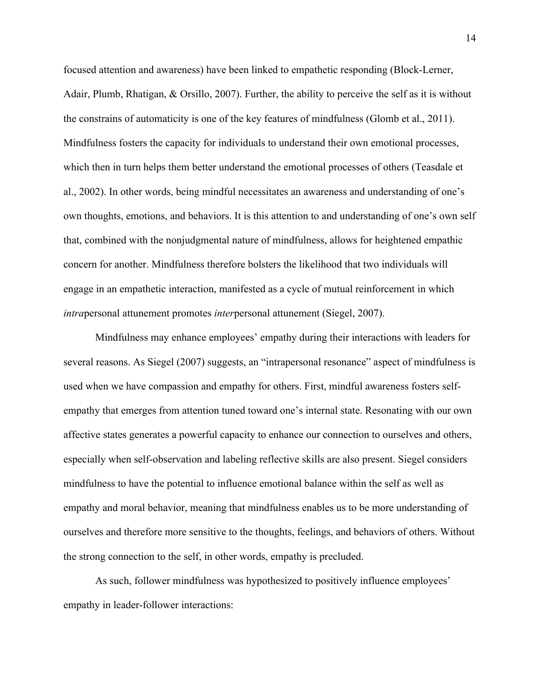focused attention and awareness) have been linked to empathetic responding (Block-Lerner, Adair, Plumb, Rhatigan, & Orsillo, 2007). Further, the ability to perceive the self as it is without the constrains of automaticity is one of the key features of mindfulness (Glomb et al., 2011). Mindfulness fosters the capacity for individuals to understand their own emotional processes, which then in turn helps them better understand the emotional processes of others (Teasdale et al., 2002). In other words, being mindful necessitates an awareness and understanding of one's own thoughts, emotions, and behaviors. It is this attention to and understanding of one's own self that, combined with the nonjudgmental nature of mindfulness, allows for heightened empathic concern for another. Mindfulness therefore bolsters the likelihood that two individuals will engage in an empathetic interaction, manifested as a cycle of mutual reinforcement in which *intra*personal attunement promotes *inter*personal attunement (Siegel, 2007).

Mindfulness may enhance employees' empathy during their interactions with leaders for several reasons. As Siegel (2007) suggests, an "intrapersonal resonance" aspect of mindfulness is used when we have compassion and empathy for others. First, mindful awareness fosters selfempathy that emerges from attention tuned toward one's internal state. Resonating with our own affective states generates a powerful capacity to enhance our connection to ourselves and others, especially when self-observation and labeling reflective skills are also present. Siegel considers mindfulness to have the potential to influence emotional balance within the self as well as empathy and moral behavior, meaning that mindfulness enables us to be more understanding of ourselves and therefore more sensitive to the thoughts, feelings, and behaviors of others. Without the strong connection to the self, in other words, empathy is precluded.

As such, follower mindfulness was hypothesized to positively influence employees' empathy in leader-follower interactions: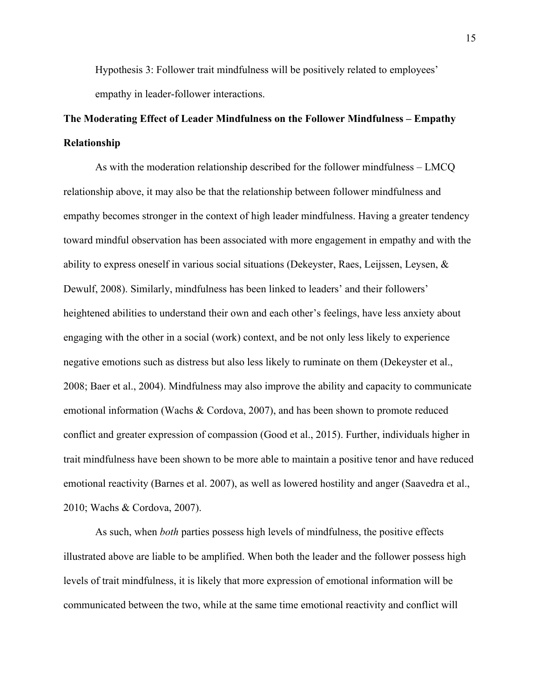Hypothesis 3: Follower trait mindfulness will be positively related to employees' empathy in leader-follower interactions.

## **The Moderating Effect of Leader Mindfulness on the Follower Mindfulness – Empathy Relationship**

As with the moderation relationship described for the follower mindfulness – LMCQ relationship above, it may also be that the relationship between follower mindfulness and empathy becomes stronger in the context of high leader mindfulness. Having a greater tendency toward mindful observation has been associated with more engagement in empathy and with the ability to express oneself in various social situations (Dekeyster, Raes, Leijssen, Leysen, & Dewulf, 2008). Similarly, mindfulness has been linked to leaders' and their followers' heightened abilities to understand their own and each other's feelings, have less anxiety about engaging with the other in a social (work) context, and be not only less likely to experience negative emotions such as distress but also less likely to ruminate on them (Dekeyster et al., 2008; Baer et al., 2004). Mindfulness may also improve the ability and capacity to communicate emotional information (Wachs & Cordova, 2007), and has been shown to promote reduced conflict and greater expression of compassion (Good et al., 2015). Further, individuals higher in trait mindfulness have been shown to be more able to maintain a positive tenor and have reduced emotional reactivity (Barnes et al. 2007), as well as lowered hostility and anger (Saavedra et al., 2010; Wachs & Cordova, 2007).

As such, when *both* parties possess high levels of mindfulness, the positive effects illustrated above are liable to be amplified. When both the leader and the follower possess high levels of trait mindfulness, it is likely that more expression of emotional information will be communicated between the two, while at the same time emotional reactivity and conflict will

15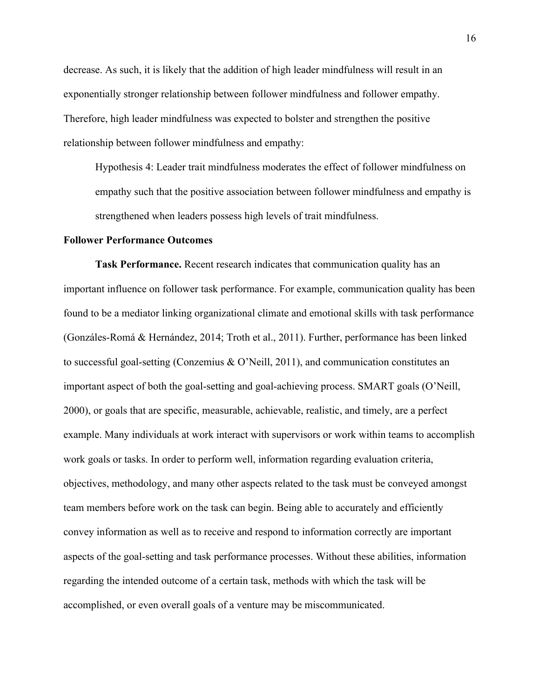decrease. As such, it is likely that the addition of high leader mindfulness will result in an exponentially stronger relationship between follower mindfulness and follower empathy. Therefore, high leader mindfulness was expected to bolster and strengthen the positive relationship between follower mindfulness and empathy:

Hypothesis 4: Leader trait mindfulness moderates the effect of follower mindfulness on empathy such that the positive association between follower mindfulness and empathy is strengthened when leaders possess high levels of trait mindfulness.

#### **Follower Performance Outcomes**

**Task Performance.** Recent research indicates that communication quality has an important influence on follower task performance. For example, communication quality has been found to be a mediator linking organizational climate and emotional skills with task performance (Gonzáles-Romá & Hernández, 2014; Troth et al., 2011). Further, performance has been linked to successful goal-setting (Conzemius & O'Neill, 2011), and communication constitutes an important aspect of both the goal-setting and goal-achieving process. SMART goals (O'Neill, 2000), or goals that are specific, measurable, achievable, realistic, and timely, are a perfect example. Many individuals at work interact with supervisors or work within teams to accomplish work goals or tasks. In order to perform well, information regarding evaluation criteria, objectives, methodology, and many other aspects related to the task must be conveyed amongst team members before work on the task can begin. Being able to accurately and efficiently convey information as well as to receive and respond to information correctly are important aspects of the goal-setting and task performance processes. Without these abilities, information regarding the intended outcome of a certain task, methods with which the task will be accomplished, or even overall goals of a venture may be miscommunicated.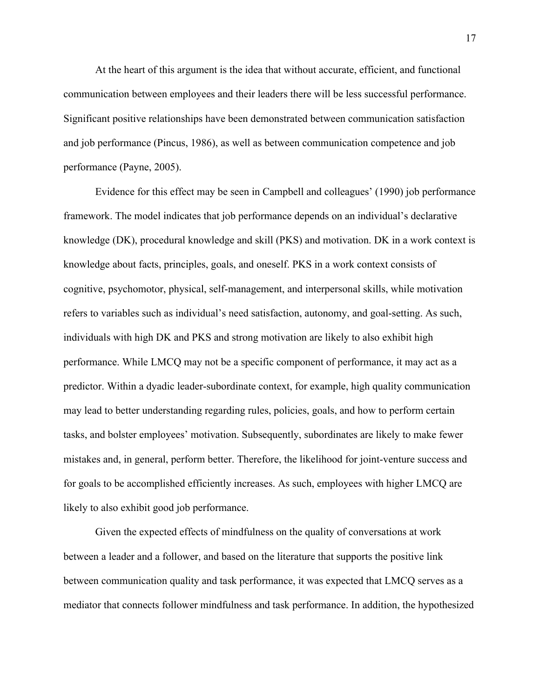At the heart of this argument is the idea that without accurate, efficient, and functional communication between employees and their leaders there will be less successful performance. Significant positive relationships have been demonstrated between communication satisfaction and job performance (Pincus, 1986), as well as between communication competence and job performance (Payne, 2005).

Evidence for this effect may be seen in Campbell and colleagues' (1990) job performance framework. The model indicates that job performance depends on an individual's declarative knowledge (DK), procedural knowledge and skill (PKS) and motivation. DK in a work context is knowledge about facts, principles, goals, and oneself. PKS in a work context consists of cognitive, psychomotor, physical, self-management, and interpersonal skills, while motivation refers to variables such as individual's need satisfaction, autonomy, and goal-setting. As such, individuals with high DK and PKS and strong motivation are likely to also exhibit high performance. While LMCQ may not be a specific component of performance, it may act as a predictor. Within a dyadic leader-subordinate context, for example, high quality communication may lead to better understanding regarding rules, policies, goals, and how to perform certain tasks, and bolster employees' motivation. Subsequently, subordinates are likely to make fewer mistakes and, in general, perform better. Therefore, the likelihood for joint-venture success and for goals to be accomplished efficiently increases. As such, employees with higher LMCQ are likely to also exhibit good job performance.

Given the expected effects of mindfulness on the quality of conversations at work between a leader and a follower, and based on the literature that supports the positive link between communication quality and task performance, it was expected that LMCQ serves as a mediator that connects follower mindfulness and task performance. In addition, the hypothesized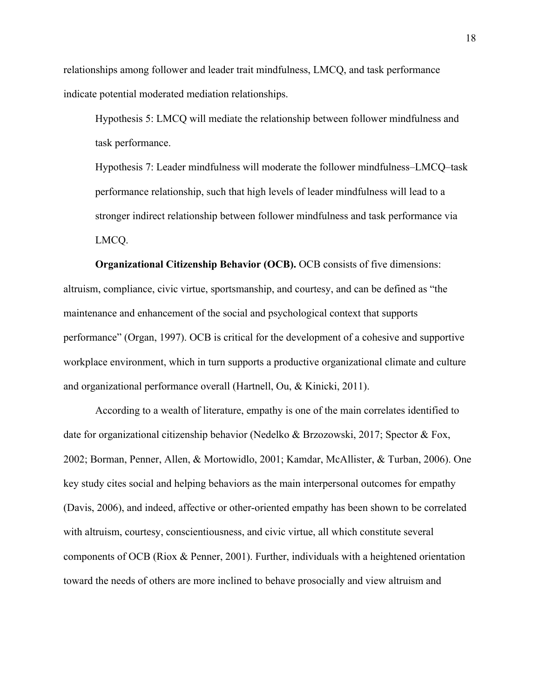relationships among follower and leader trait mindfulness, LMCQ, and task performance indicate potential moderated mediation relationships.

Hypothesis 5: LMCQ will mediate the relationship between follower mindfulness and task performance.

Hypothesis 7: Leader mindfulness will moderate the follower mindfulness–LMCQ–task performance relationship, such that high levels of leader mindfulness will lead to a stronger indirect relationship between follower mindfulness and task performance via LMCQ.

**Organizational Citizenship Behavior (OCB).** OCB consists of five dimensions: altruism, compliance, civic virtue, sportsmanship, and courtesy, and can be defined as "the maintenance and enhancement of the social and psychological context that supports performance" (Organ, 1997). OCB is critical for the development of a cohesive and supportive workplace environment, which in turn supports a productive organizational climate and culture and organizational performance overall (Hartnell, Ou, & Kinicki, 2011).

According to a wealth of literature, empathy is one of the main correlates identified to date for organizational citizenship behavior (Nedelko & Brzozowski, 2017; Spector & Fox, 2002; Borman, Penner, Allen, & Mortowidlo, 2001; Kamdar, McAllister, & Turban, 2006). One key study cites social and helping behaviors as the main interpersonal outcomes for empathy (Davis, 2006), and indeed, affective or other-oriented empathy has been shown to be correlated with altruism, courtesy, conscientiousness, and civic virtue, all which constitute several components of OCB (Riox & Penner, 2001). Further, individuals with a heightened orientation toward the needs of others are more inclined to behave prosocially and view altruism and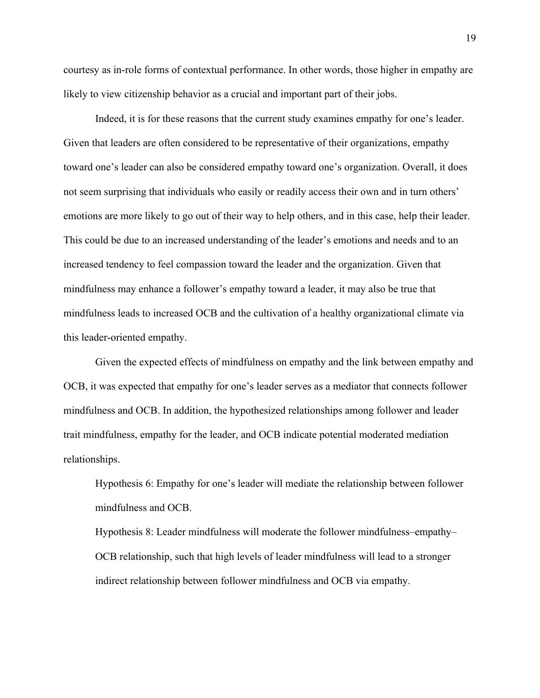courtesy as in-role forms of contextual performance. In other words, those higher in empathy are likely to view citizenship behavior as a crucial and important part of their jobs.

Indeed, it is for these reasons that the current study examines empathy for one's leader. Given that leaders are often considered to be representative of their organizations, empathy toward one's leader can also be considered empathy toward one's organization. Overall, it does not seem surprising that individuals who easily or readily access their own and in turn others' emotions are more likely to go out of their way to help others, and in this case, help their leader. This could be due to an increased understanding of the leader's emotions and needs and to an increased tendency to feel compassion toward the leader and the organization. Given that mindfulness may enhance a follower's empathy toward a leader, it may also be true that mindfulness leads to increased OCB and the cultivation of a healthy organizational climate via this leader-oriented empathy.

Given the expected effects of mindfulness on empathy and the link between empathy and OCB, it was expected that empathy for one's leader serves as a mediator that connects follower mindfulness and OCB. In addition, the hypothesized relationships among follower and leader trait mindfulness, empathy for the leader, and OCB indicate potential moderated mediation relationships.

Hypothesis 6: Empathy for one's leader will mediate the relationship between follower mindfulness and OCB.

Hypothesis 8: Leader mindfulness will moderate the follower mindfulness–empathy– OCB relationship, such that high levels of leader mindfulness will lead to a stronger indirect relationship between follower mindfulness and OCB via empathy.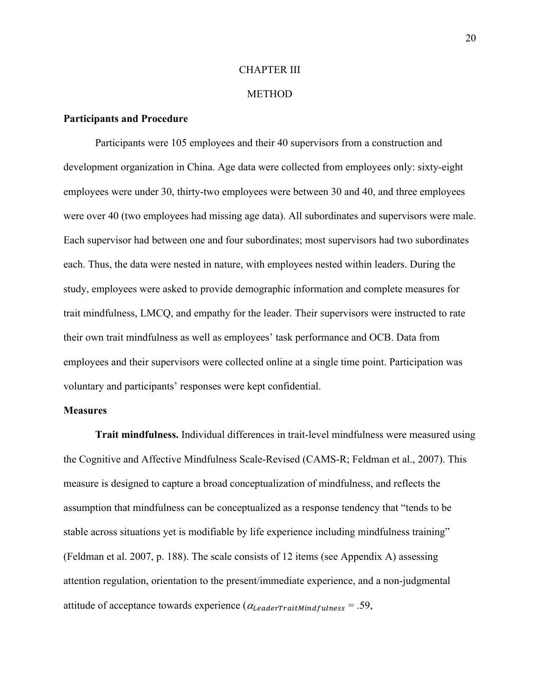#### CHAPTER III

#### **METHOD**

#### **Participants and Procedure**

Participants were 105 employees and their 40 supervisors from a construction and development organization in China. Age data were collected from employees only: sixty-eight employees were under 30, thirty-two employees were between 30 and 40, and three employees were over 40 (two employees had missing age data). All subordinates and supervisors were male. Each supervisor had between one and four subordinates; most supervisors had two subordinates each. Thus, the data were nested in nature, with employees nested within leaders. During the study, employees were asked to provide demographic information and complete measures for trait mindfulness, LMCQ, and empathy for the leader. Their supervisors were instructed to rate their own trait mindfulness as well as employees' task performance and OCB. Data from employees and their supervisors were collected online at a single time point. Participation was voluntary and participants' responses were kept confidential.

#### **Measures**

**Trait mindfulness.** Individual differences in trait-level mindfulness were measured using the Cognitive and Affective Mindfulness Scale-Revised (CAMS-R; Feldman et al., 2007). This measure is designed to capture a broad conceptualization of mindfulness, and reflects the assumption that mindfulness can be conceptualized as a response tendency that "tends to be stable across situations yet is modifiable by life experience including mindfulness training" (Feldman et al. 2007, p. 188). The scale consists of 12 items (see Appendix A) assessing attention regulation, orientation to the present/immediate experience, and a non-judgmental attitude of acceptance towards experience  $(\alpha_{\text{LeaderTailMindfulness}} = .59, )$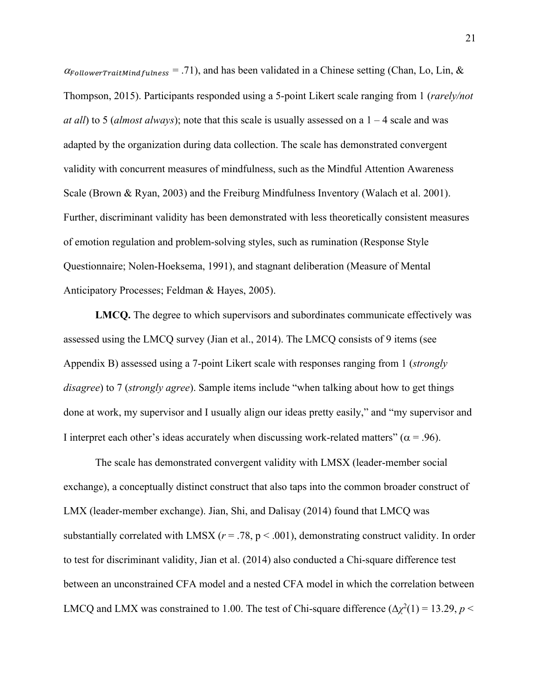$\alpha_{\text{Follower} Transition dfulness} = .71$ ), and has been validated in a Chinese setting (Chan, Lo, Lin, & Thompson, 2015). Participants responded using a 5-point Likert scale ranging from 1 (*rarely/not at all*) to 5 (*almost always*); note that this scale is usually assessed on a 1 – 4 scale and was adapted by the organization during data collection. The scale has demonstrated convergent validity with concurrent measures of mindfulness, such as the Mindful Attention Awareness Scale (Brown & Ryan, 2003) and the Freiburg Mindfulness Inventory (Walach et al. 2001). Further, discriminant validity has been demonstrated with less theoretically consistent measures of emotion regulation and problem-solving styles, such as rumination (Response Style Questionnaire; Nolen-Hoeksema, 1991), and stagnant deliberation (Measure of Mental Anticipatory Processes; Feldman & Hayes, 2005).

**LMCQ.** The degree to which supervisors and subordinates communicate effectively was assessed using the LMCQ survey (Jian et al., 2014). The LMCQ consists of 9 items (see Appendix B) assessed using a 7-point Likert scale with responses ranging from 1 (*strongly disagree*) to 7 (*strongly agree*). Sample items include "when talking about how to get things done at work, my supervisor and I usually align our ideas pretty easily," and "my supervisor and I interpret each other's ideas accurately when discussing work-related matters" ( $\alpha$  = .96).

The scale has demonstrated convergent validity with LMSX (leader-member social exchange), a conceptually distinct construct that also taps into the common broader construct of LMX (leader-member exchange). Jian, Shi, and Dalisay (2014) found that LMCQ was substantially correlated with LMSX ( $r = .78$ ,  $p < .001$ ), demonstrating construct validity. In order to test for discriminant validity, Jian et al. (2014) also conducted a Chi-square difference test between an unconstrained CFA model and a nested CFA model in which the correlation between LMCQ and LMX was constrained to 1.00. The test of Chi-square difference  $(\Delta \chi^2(1) = 13.29, p <$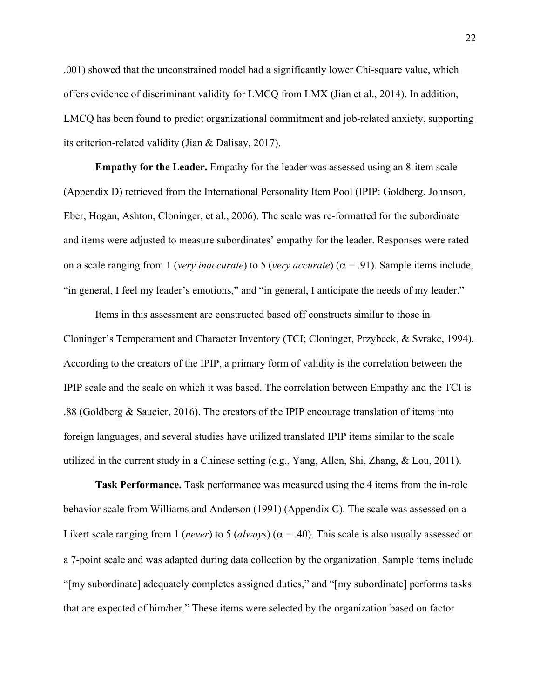.001) showed that the unconstrained model had a significantly lower Chi-square value, which offers evidence of discriminant validity for LMCQ from LMX (Jian et al., 2014). In addition, LMCQ has been found to predict organizational commitment and job-related anxiety, supporting its criterion-related validity (Jian & Dalisay, 2017).

**Empathy for the Leader.** Empathy for the leader was assessed using an 8-item scale (Appendix D) retrieved from the International Personality Item Pool (IPIP: Goldberg, Johnson, Eber, Hogan, Ashton, Cloninger, et al., 2006). The scale was re-formatted for the subordinate and items were adjusted to measure subordinates' empathy for the leader. Responses were rated on a scale ranging from 1 (*very inaccurate*) to 5 (*very accurate*) ( $\alpha$  = .91). Sample items include, "in general, I feel my leader's emotions," and "in general, I anticipate the needs of my leader."

Items in this assessment are constructed based off constructs similar to those in Cloninger's Temperament and Character Inventory (TCI; Cloninger, Przybeck, & Svrakc, 1994). According to the creators of the IPIP, a primary form of validity is the correlation between the IPIP scale and the scale on which it was based. The correlation between Empathy and the TCI is .88 (Goldberg & Saucier, 2016). The creators of the IPIP encourage translation of items into foreign languages, and several studies have utilized translated IPIP items similar to the scale utilized in the current study in a Chinese setting (e.g., Yang, Allen, Shi, Zhang, & Lou, 2011).

**Task Performance.** Task performance was measured using the 4 items from the in-role behavior scale from Williams and Anderson (1991) (Appendix C). The scale was assessed on a Likert scale ranging from 1 (*never*) to 5 (*always*) ( $\alpha$  = .40). This scale is also usually assessed on a 7-point scale and was adapted during data collection by the organization. Sample items include "[my subordinate] adequately completes assigned duties," and "[my subordinate] performs tasks that are expected of him/her." These items were selected by the organization based on factor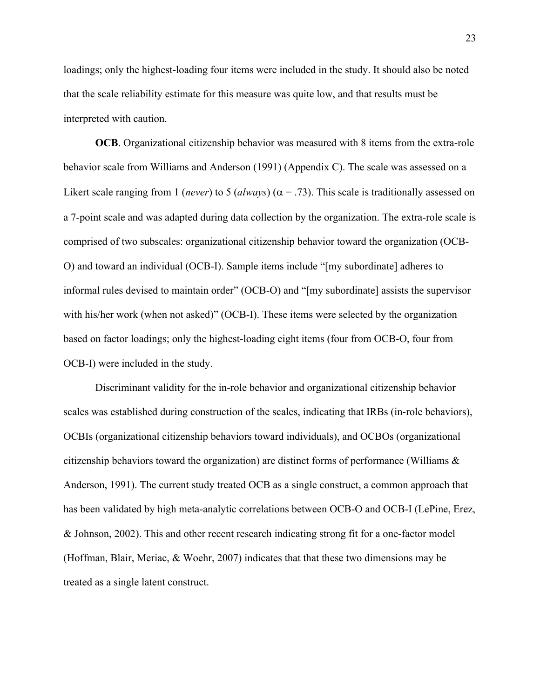loadings; only the highest-loading four items were included in the study. It should also be noted that the scale reliability estimate for this measure was quite low, and that results must be interpreted with caution.

**OCB**. Organizational citizenship behavior was measured with 8 items from the extra-role behavior scale from Williams and Anderson (1991) (Appendix C). The scale was assessed on a Likert scale ranging from 1 (*never*) to 5 (*always*) ( $\alpha$  = .73). This scale is traditionally assessed on a 7-point scale and was adapted during data collection by the organization. The extra-role scale is comprised of two subscales: organizational citizenship behavior toward the organization (OCB-O) and toward an individual (OCB-I). Sample items include "[my subordinate] adheres to informal rules devised to maintain order" (OCB-O) and "[my subordinate] assists the supervisor with his/her work (when not asked)" (OCB-I). These items were selected by the organization based on factor loadings; only the highest-loading eight items (four from OCB-O, four from OCB-I) were included in the study.

Discriminant validity for the in-role behavior and organizational citizenship behavior scales was established during construction of the scales, indicating that IRBs (in-role behaviors), OCBIs (organizational citizenship behaviors toward individuals), and OCBOs (organizational citizenship behaviors toward the organization) are distinct forms of performance (Williams & Anderson, 1991). The current study treated OCB as a single construct, a common approach that has been validated by high meta-analytic correlations between OCB-O and OCB-I (LePine, Erez, & Johnson, 2002). This and other recent research indicating strong fit for a one-factor model (Hoffman, Blair, Meriac, & Woehr, 2007) indicates that that these two dimensions may be treated as a single latent construct.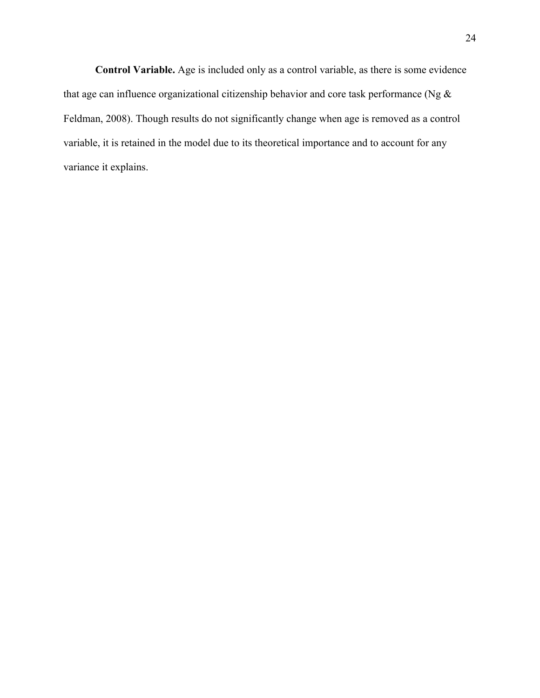**Control Variable.** Age is included only as a control variable, as there is some evidence that age can influence organizational citizenship behavior and core task performance (Ng & Feldman, 2008). Though results do not significantly change when age is removed as a control variable, it is retained in the model due to its theoretical importance and to account for any variance it explains.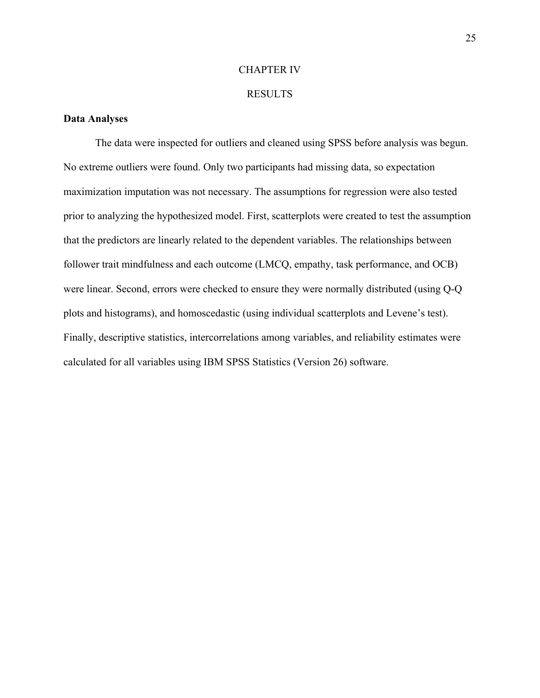#### CHAPTER IV

#### RESULTS

#### **Data Analyses**

The data were inspected for outliers and cleaned using SPSS before analysis was begun. No extreme outliers were found. Only two participants had missing data, so expectation maximization imputation was not necessary. The assumptions for regression were also tested prior to analyzing the hypothesized model. First, scatterplots were created to test the assumption that the predictors are linearly related to the dependent variables. The relationships between follower trait mindfulness and each outcome (LMCQ, empathy, task performance, and OCB) were linear. Second, errors were checked to ensure they were normally distributed (using Q-Q plots and histograms), and homoscedastic (using individual scatterplots and Levene's test). Finally, descriptive statistics, intercorrelations among variables, and reliability estimates were calculated for all variables using IBM SPSS Statistics (Version 26) software.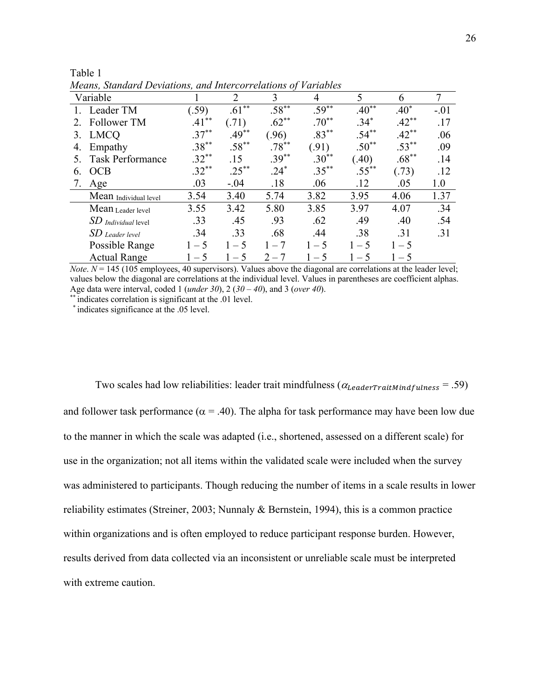| means, sumaara Deviations, and thier correlations of variables |           |           |          |          |          |          |        |
|----------------------------------------------------------------|-----------|-----------|----------|----------|----------|----------|--------|
| Variable                                                       |           | 2         | 3        | 4        | 5        | 6        |        |
| Leader TM                                                      | (.59)     | **<br>.61 | $.58***$ | $.59***$ | $.40**$  | $.40*$   | $-.01$ |
| Follower TM                                                    | **<br>.41 | (.71)     | $.62**$  | $.70**$  | $.34*$   | $.42***$ | .17    |
| <b>LMCQ</b>                                                    | $.37***$  | $.49***$  | (96)     | $.83***$ | $.54***$ | $.42***$ | .06    |
| Empathy<br>4.                                                  | $.38***$  | $.58***$  | $.78***$ | (0.91)   | $.50**$  | $.53***$ | .09    |
| <b>Task Performance</b>                                        | $.32***$  | .15       | $.39***$ | $.30**$  | (.40)    | $.68***$ | .14    |
| OCB<br>6.                                                      | $.32***$  | $.25***$  | $.24*$   | $.35***$ | $.55***$ | (.73)    | .12    |
| Age                                                            | .03       | $-.04$    | .18      | .06      | .12      | .05      | 1.0    |
| Mean Individual level                                          | 3.54      | 3.40      | 5.74     | 3.82     | 3.95     | 4.06     | 1.37   |
| Mean Leader level                                              | 3.55      | 3.42      | 5.80     | 3.85     | 3.97     | 4.07     | .34    |
| SD Individual level                                            | .33       | .45       | .93      | .62      | .49      | .40      | .54    |
| $SD$ Leader level                                              | .34       | .33       | .68      | .44      | .38      | .31      | .31    |
| Possible Range                                                 | $1 - 5$   | $1 - 5$   | $1 - 7$  | $1 - 5$  | $1 - 5$  | $1 - 5$  |        |
| <b>Actual Range</b>                                            | $1 - 5$   | $1 - 5$   | $2 - 7$  | $1 - 5$  | $-5$     | $1 - 5$  |        |

*Means, Standard Deviations, and Intercorrelations of Variables*

*Note.*  $N = 145$  (105 employees, 40 supervisors). Values above the diagonal are correlations at the leader level; values below the diagonal are correlations at the individual level. Values in parentheses are coefficient alphas. Age data were interval, coded 1 (*under 30*), 2 (*30 – 40*), and 3 (*over 40*).

\*\* indicates correlation is significant at the .01 level. \* indicates significance at the .05 level.

Table 1

Two scales had low reliabilities: leader trait mindfulness ( $\alpha_{\text{LeaderTailMindfulness}} = .59$ ) and follower task performance ( $\alpha$  = .40). The alpha for task performance may have been low due to the manner in which the scale was adapted (i.e., shortened, assessed on a different scale) for use in the organization; not all items within the validated scale were included when the survey was administered to participants. Though reducing the number of items in a scale results in lower reliability estimates (Streiner, 2003; Nunnaly & Bernstein, 1994), this is a common practice within organizations and is often employed to reduce participant response burden. However, results derived from data collected via an inconsistent or unreliable scale must be interpreted with extreme caution.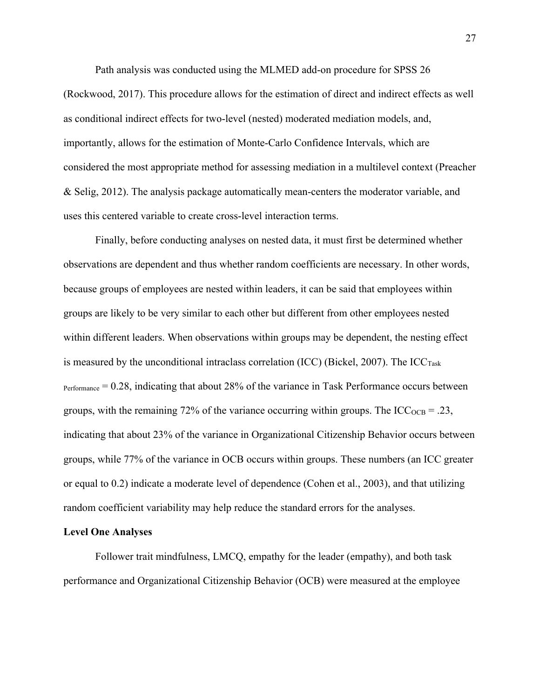Path analysis was conducted using the MLMED add-on procedure for SPSS 26

(Rockwood, 2017). This procedure allows for the estimation of direct and indirect effects as well as conditional indirect effects for two-level (nested) moderated mediation models, and, importantly, allows for the estimation of Monte-Carlo Confidence Intervals, which are considered the most appropriate method for assessing mediation in a multilevel context (Preacher & Selig, 2012). The analysis package automatically mean-centers the moderator variable, and uses this centered variable to create cross-level interaction terms.

Finally, before conducting analyses on nested data, it must first be determined whether observations are dependent and thus whether random coefficients are necessary. In other words, because groups of employees are nested within leaders, it can be said that employees within groups are likely to be very similar to each other but different from other employees nested within different leaders. When observations within groups may be dependent, the nesting effect is measured by the unconditional intraclass correlation (ICC) (Bickel, 2007). The  $ICC<sub>Task</sub>$ Performance = 0.28, indicating that about 28% of the variance in Task Performance occurs between groups, with the remaining 72% of the variance occurring within groups. The  $\text{ICC}_{\text{OCB}} = .23$ , indicating that about 23% of the variance in Organizational Citizenship Behavior occurs between groups, while 77% of the variance in OCB occurs within groups. These numbers (an ICC greater or equal to 0.2) indicate a moderate level of dependence (Cohen et al., 2003), and that utilizing random coefficient variability may help reduce the standard errors for the analyses.

#### **Level One Analyses**

Follower trait mindfulness, LMCQ, empathy for the leader (empathy), and both task performance and Organizational Citizenship Behavior (OCB) were measured at the employee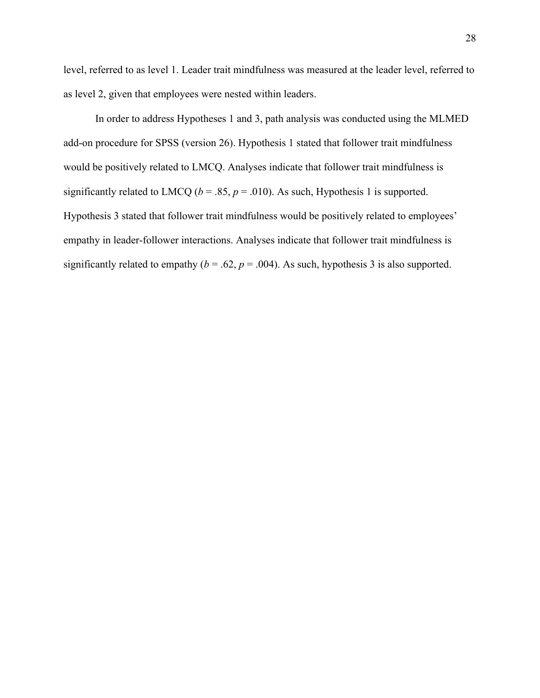level, referred to as level 1. Leader trait mindfulness was measured at the leader level, referred to as level 2, given that employees were nested within leaders.

In order to address Hypotheses 1 and 3, path analysis was conducted using the MLMED add-on procedure for SPSS (version 26). Hypothesis 1 stated that follower trait mindfulness would be positively related to LMCQ. Analyses indicate that follower trait mindfulness is significantly related to LMCQ ( $b = .85$ ,  $p = .010$ ). As such, Hypothesis 1 is supported. Hypothesis 3 stated that follower trait mindfulness would be positively related to employees' empathy in leader-follower interactions. Analyses indicate that follower trait mindfulness is significantly related to empathy ( $b = .62$ ,  $p = .004$ ). As such, hypothesis 3 is also supported.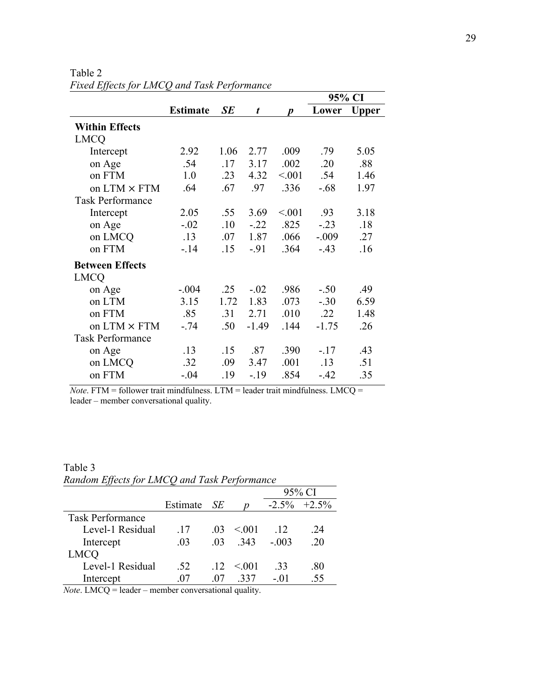|                         |                 |           |         |         | 95% CI  |              |
|-------------------------|-----------------|-----------|---------|---------|---------|--------------|
|                         | <b>Estimate</b> | <b>SE</b> | t       | D       | Lower   | <b>Upper</b> |
| <b>Within Effects</b>   |                 |           |         |         |         |              |
| <b>LMCQ</b>             |                 |           |         |         |         |              |
| Intercept               | 2.92            | 1.06      | 2.77    | .009    | .79     | 5.05         |
| on Age                  | .54             | .17       | 3.17    | .002    | .20     | .88          |
| on FTM                  | 1.0             | .23       | 4.32    | < 0.001 | .54     | 1.46         |
| on $LTM \times FTM$     | .64             | .67       | .97     | .336    | $-.68$  | 1.97         |
| <b>Task Performance</b> |                 |           |         |         |         |              |
| Intercept               | 2.05            | .55       | 3.69    | < 0.001 | .93     | 3.18         |
| on Age                  | $-.02$          | .10       | $-.22$  | .825    | $-.23$  | .18          |
| on LMCQ                 | .13             | .07       | 1.87    | .066    | $-.009$ | .27          |
| on FTM                  | $-.14$          | .15       | $-.91$  | .364    | $-.43$  | .16          |
| <b>Between Effects</b>  |                 |           |         |         |         |              |
| <b>LMCQ</b>             |                 |           |         |         |         |              |
| on Age                  | $-.004$         | .25       | $-.02$  | .986    | $-.50$  | .49          |
| on LTM                  | 3.15            | 1.72      | 1.83    | .073    | $-.30$  | 6.59         |
| on FTM                  | .85             | .31       | 2.71    | .010    | .22     | 1.48         |
| on $LTM \times FTM$     | $-.74$          | .50       | $-1.49$ | .144    | $-1.75$ | .26          |
| <b>Task Performance</b> |                 |           |         |         |         |              |
| on Age                  | .13             | .15       | .87     | .390    | $-.17$  | .43          |
| on LMCQ                 | .32             | .09       | 3.47    | .001    | .13     | .51          |
| on FTM                  | $-.04$          | .19       | $-.19$  | .854    | $-.42$  | .35          |

Table 2 *Fixed Effects for LMCQ and Task Performance*

*Note*. FTM = follower trait mindfulness. LTM = leader trait mindfulness. LMCQ = leader – member conversational quality.

Table 3 *Random Effects for LMCQ and Task Performance*

|                         |          |       |       | 95% CI   |          |  |  |  |
|-------------------------|----------|-------|-------|----------|----------|--|--|--|
|                         | Estimate | - SE  |       | $-2.5\%$ | $+2.5\%$ |  |  |  |
| <b>Task Performance</b> |          |       |       |          |          |  |  |  |
| Level-1 Residual        | 17       | .03   | < 001 | .12      | .24      |  |  |  |
| Intercept               | .03      | .03   | .343  | $-.003$  | .20      |  |  |  |
| <b>LMCQ</b>             |          |       |       |          |          |  |  |  |
| Level-1 Residual        | .52.     | 12    | < 001 | .33      | .80      |  |  |  |
| Intercept               | $\alpha$ | - O'Z | -337  | $-.01$   | .55      |  |  |  |

*Note*. LMCQ = leader – member conversational quality.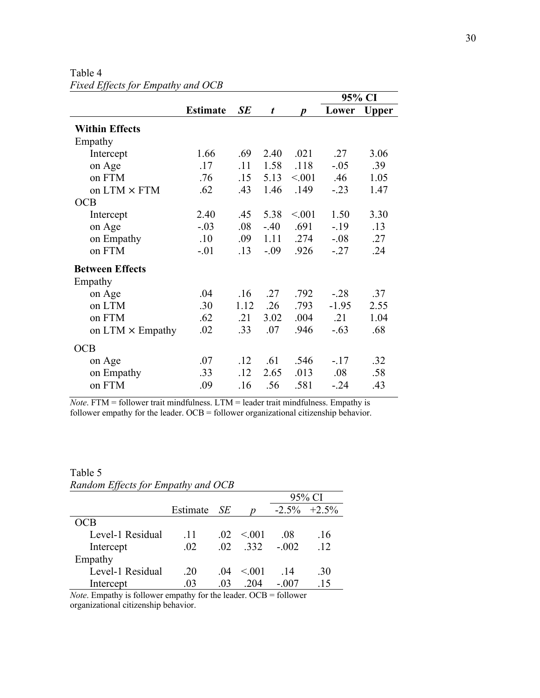|                         |                 |      |        |        |         | 95% CI       |
|-------------------------|-----------------|------|--------|--------|---------|--------------|
|                         | <b>Estimate</b> | SE   | t      | D      | Lower   | <b>Upper</b> |
| <b>Within Effects</b>   |                 |      |        |        |         |              |
| Empathy                 |                 |      |        |        |         |              |
| Intercept               | 1.66            | .69  | 2.40   | .021   | .27     | 3.06         |
| on Age                  | .17             | .11  | 1.58   | .118   | $-.05$  | .39          |
| on FTM                  | .76             | .15  | 5.13   | < 0.01 | .46     | 1.05         |
| on LTM $\times$ FTM     | .62             | .43  | 1.46   | .149   | $-.23$  | 1.47         |
| OCB                     |                 |      |        |        |         |              |
| Intercept               | 2.40            | .45  | 5.38   | < 0.01 | 1.50    | 3.30         |
| on Age                  | $-.03$          | .08  | $-.40$ | .691   | $-.19$  | .13          |
| on Empathy              | .10             | .09  | 1.11   | .274   | $-.08$  | .27          |
| on FTM                  | $-.01$          | .13  | $-.09$ | .926   | $-.27$  | .24          |
| <b>Between Effects</b>  |                 |      |        |        |         |              |
| Empathy                 |                 |      |        |        |         |              |
| on Age                  | .04             | .16  | .27    | .792   | $-.28$  | .37          |
| on LTM                  | .30             | 1.12 | .26    | .793   | $-1.95$ | 2.55         |
| on FTM                  | .62             | .21  | 3.02   | .004   | .21     | 1.04         |
| on $LTM \times Empathy$ | .02             | .33  | .07    | .946   | $-.63$  | .68          |
| <b>OCB</b>              |                 |      |        |        |         |              |
| on Age                  | .07             | .12  | .61    | .546   | $-.17$  | .32          |
| on Empathy              | .33             | .12  | 2.65   | .013   | .08     | .58          |
| on FTM                  | .09             | .16  | .56    | .581   | $-.24$  | .43          |

Table 4 *Fixed Effects for Empathy and OCB*

*Note*. FTM = follower trait mindfulness. LTM = leader trait mindfulness. Empathy is follower empathy for the leader. OCB = follower organizational citizenship behavior.

|                  |          |      |       |                 | 95% CI   |
|------------------|----------|------|-------|-----------------|----------|
|                  | Estimate | - SE |       | $-2.5\%$        | $+2.5\%$ |
| OCB              |          |      |       |                 |          |
| Level-1 Residual | .11      | .02  | < 001 | .08             | .16      |
| Intercept        | .02      | .02  | .332  | $-.002$         | .12      |
| Empathy          |          |      |       |                 |          |
| Level-1 Residual | .20      | .04  | < 001 | $\overline{14}$ | .30      |
| Intercept        | .03      | .03  | 204   |                 | 15       |

Table 5 *Random Effects for Empathy and OCB*

*Note*. Empathy is follower empathy for the leader. OCB = follower organizational citizenship behavior.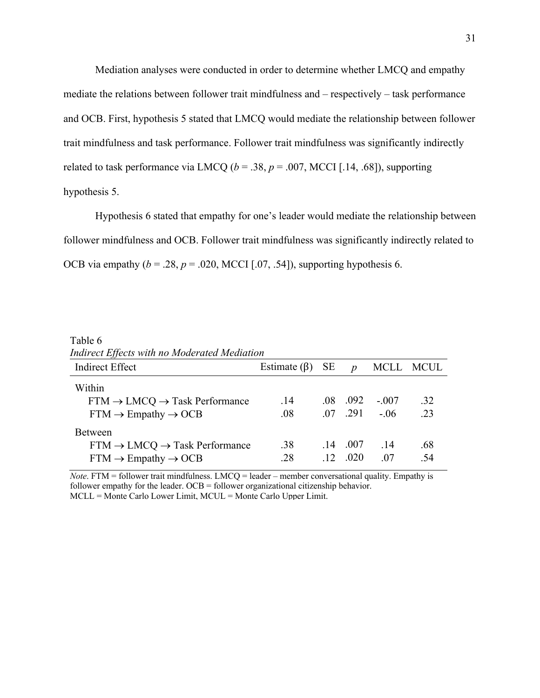Mediation analyses were conducted in order to determine whether LMCQ and empathy mediate the relations between follower trait mindfulness and – respectively – task performance and OCB. First, hypothesis 5 stated that LMCQ would mediate the relationship between follower trait mindfulness and task performance. Follower trait mindfulness was significantly indirectly related to task performance via LMCQ ( $b = .38$ ,  $p = .007$ , MCCI [.14, .68]), supporting hypothesis 5.

Hypothesis 6 stated that empathy for one's leader would mediate the relationship between follower mindfulness and OCB. Follower trait mindfulness was significantly indirectly related to OCB via empathy  $(b = .28, p = .020, MCCI [.07, .54])$ , supporting hypothesis 6.

Table 6 *Indirect Effects with no Moderated Mediation*

| Indirect Effects with no moderated mediation        |                       |     |                  |                     |           |
|-----------------------------------------------------|-----------------------|-----|------------------|---------------------|-----------|
| <b>Indirect Effect</b>                              | Estimate $(\beta)$ SE |     | $\boldsymbol{p}$ |                     | MCLL MCUL |
| Within                                              |                       |     |                  |                     |           |
| $FTM \rightarrow LMCQ \rightarrow Task$ Performance | .14                   |     | .08 .092         | $-.007$             | .32       |
| $FTM \rightarrow Empathy \rightarrow OCB$           | .08                   |     |                  | $.07$ $.291$ $-.06$ | .23       |
| <b>Between</b>                                      |                       |     |                  |                     |           |
| $FTM \rightarrow LMCQ \rightarrow Task Performance$ | .38                   |     | $.14$ $.007$     | .14                 | .68       |
| $FTM \rightarrow Empathy \rightarrow OCB$           | .28                   | .12 | .020             | .07                 | .54       |
|                                                     |                       |     |                  |                     |           |

*Note*. FTM = follower trait mindfulness. LMCQ = leader – member conversational quality. Empathy is follower empathy for the leader. OCB = follower organizational citizenship behavior. MCLL = Monte Carlo Lower Limit, MCUL = Monte Carlo Upper Limit.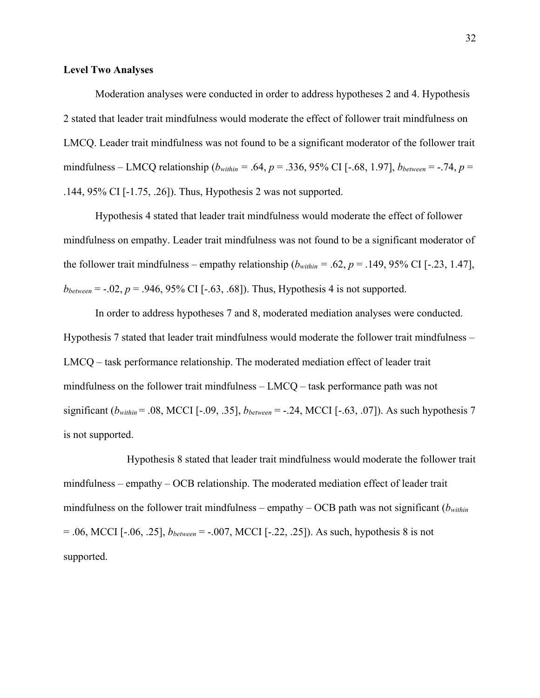#### **Level Two Analyses**

Moderation analyses were conducted in order to address hypotheses 2 and 4. Hypothesis 2 stated that leader trait mindfulness would moderate the effect of follower trait mindfulness on LMCQ. Leader trait mindfulness was not found to be a significant moderator of the follower trait mindfulness – LMCQ relationship (*bwithin =* .64, *p* = .336, 95% CI [-.68, 1.97], *bbetween* = -.74, *p* = .144, 95% CI [-1.75, .26]). Thus, Hypothesis 2 was not supported.

Hypothesis 4 stated that leader trait mindfulness would moderate the effect of follower mindfulness on empathy. Leader trait mindfulness was not found to be a significant moderator of the follower trait mindfulness – empathy relationship  $(b_{within} = .62, p = .149, 95\% \text{ CI}$  [-.23, 1.47],  $b_{between} = -.02, p = .946, 95\% \text{ CI} [-.63, .68]$ . Thus, Hypothesis 4 is not supported.

In order to address hypotheses 7 and 8, moderated mediation analyses were conducted. Hypothesis 7 stated that leader trait mindfulness would moderate the follower trait mindfulness – LMCQ – task performance relationship. The moderated mediation effect of leader trait mindfulness on the follower trait mindfulness – LMCQ – task performance path was not significant (*bwithin* = .08, MCCI [-.09, .35], *bbetween* = -.24, MCCI [-.63, .07]). As such hypothesis 7 is not supported.

Hypothesis 8 stated that leader trait mindfulness would moderate the follower trait mindfulness – empathy – OCB relationship. The moderated mediation effect of leader trait mindfulness on the follower trait mindfulness – empathy – OCB path was not significant (*bwithin* = .06, MCCI [-.06, .25], *bbetween* = -.007, MCCI [-.22, .25]). As such, hypothesis 8 is not supported.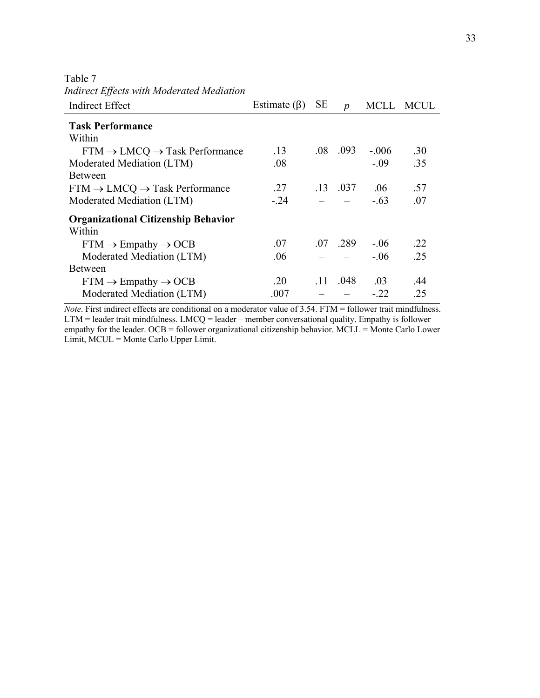Table 7

*Indirect Effects with Moderated Mediation*

| <b>Indirect Effect</b>                              | Estimate $(\beta)$ | <b>SE</b> | $\boldsymbol{p}$ | MCLL    | MCUL |
|-----------------------------------------------------|--------------------|-----------|------------------|---------|------|
| <b>Task Performance</b>                             |                    |           |                  |         |      |
| Within                                              |                    |           |                  |         |      |
| $FTM \rightarrow LMCQ \rightarrow Task Performance$ | .13                | .08       | .093             | $-.006$ | .30  |
| Moderated Mediation (LTM)                           | .08                |           |                  | $-.09$  | .35  |
| <b>Between</b>                                      |                    |           |                  |         |      |
| $FTM \rightarrow LMCQ \rightarrow Task Performance$ | .27                | .13       | .037             | .06     | .57  |
| Moderated Mediation (LTM)                           | $-.24$             |           |                  | $-.63$  | .07  |
| <b>Organizational Citizenship Behavior</b>          |                    |           |                  |         |      |
| Within                                              |                    |           |                  |         |      |
| $FTM \rightarrow Empathy \rightarrow OCB$           | .07                |           | .07.289          | $-.06$  | .22  |
| Moderated Mediation (LTM)                           | .06                |           |                  | $-.06$  | .25  |
| <b>Between</b>                                      |                    |           |                  |         |      |
| $FTM \rightarrow Empathy \rightarrow OCB$           | .20 <sub>1</sub>   | .11       | .048             | .03     | .44  |
| Moderated Mediation (LTM)                           | .007               |           |                  | $-.22$  | .25  |

*Note*. First indirect effects are conditional on a moderator value of 3.54. FTM = follower trait mindfulness. LTM = leader trait mindfulness. LMCQ = leader – member conversational quality. Empathy is follower empathy for the leader. OCB = follower organizational citizenship behavior. MCLL = Monte Carlo Lower Limit, MCUL = Monte Carlo Upper Limit.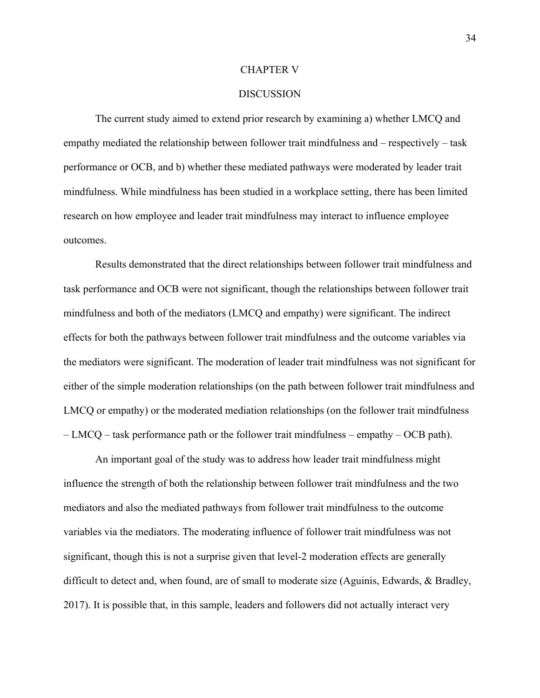#### CHAPTER V

#### DISCUSSION

The current study aimed to extend prior research by examining a) whether LMCQ and empathy mediated the relationship between follower trait mindfulness and – respectively – task performance or OCB, and b) whether these mediated pathways were moderated by leader trait mindfulness. While mindfulness has been studied in a workplace setting, there has been limited research on how employee and leader trait mindfulness may interact to influence employee outcomes.

Results demonstrated that the direct relationships between follower trait mindfulness and task performance and OCB were not significant, though the relationships between follower trait mindfulness and both of the mediators (LMCQ and empathy) were significant. The indirect effects for both the pathways between follower trait mindfulness and the outcome variables via the mediators were significant. The moderation of leader trait mindfulness was not significant for either of the simple moderation relationships (on the path between follower trait mindfulness and LMCQ or empathy) or the moderated mediation relationships (on the follower trait mindfulness – LMCQ – task performance path or the follower trait mindfulness – empathy – OCB path).

An important goal of the study was to address how leader trait mindfulness might influence the strength of both the relationship between follower trait mindfulness and the two mediators and also the mediated pathways from follower trait mindfulness to the outcome variables via the mediators. The moderating influence of follower trait mindfulness was not significant, though this is not a surprise given that level-2 moderation effects are generally difficult to detect and, when found, are of small to moderate size (Aguinis, Edwards, & Bradley, 2017). It is possible that, in this sample, leaders and followers did not actually interact very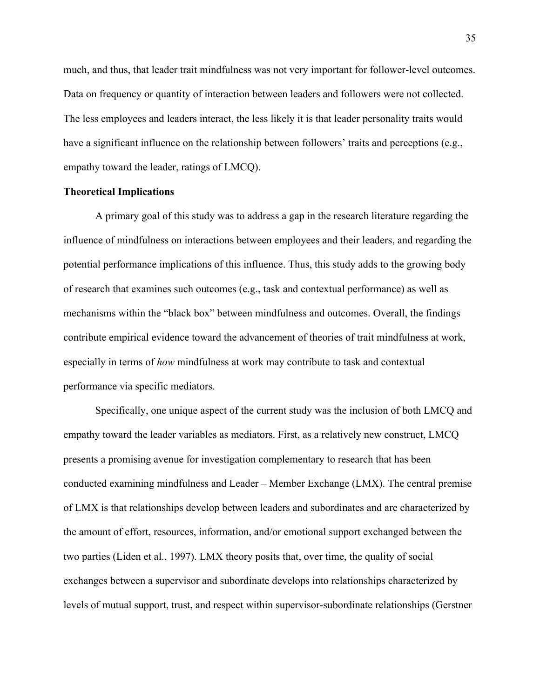much, and thus, that leader trait mindfulness was not very important for follower-level outcomes. Data on frequency or quantity of interaction between leaders and followers were not collected. The less employees and leaders interact, the less likely it is that leader personality traits would have a significant influence on the relationship between followers' traits and perceptions (e.g., empathy toward the leader, ratings of LMCQ).

#### **Theoretical Implications**

A primary goal of this study was to address a gap in the research literature regarding the influence of mindfulness on interactions between employees and their leaders, and regarding the potential performance implications of this influence. Thus, this study adds to the growing body of research that examines such outcomes (e.g., task and contextual performance) as well as mechanisms within the "black box" between mindfulness and outcomes. Overall, the findings contribute empirical evidence toward the advancement of theories of trait mindfulness at work, especially in terms of *how* mindfulness at work may contribute to task and contextual performance via specific mediators.

Specifically, one unique aspect of the current study was the inclusion of both LMCQ and empathy toward the leader variables as mediators. First, as a relatively new construct, LMCQ presents a promising avenue for investigation complementary to research that has been conducted examining mindfulness and Leader – Member Exchange (LMX). The central premise of LMX is that relationships develop between leaders and subordinates and are characterized by the amount of effort, resources, information, and/or emotional support exchanged between the two parties (Liden et al., 1997). LMX theory posits that, over time, the quality of social exchanges between a supervisor and subordinate develops into relationships characterized by levels of mutual support, trust, and respect within supervisor-subordinate relationships (Gerstner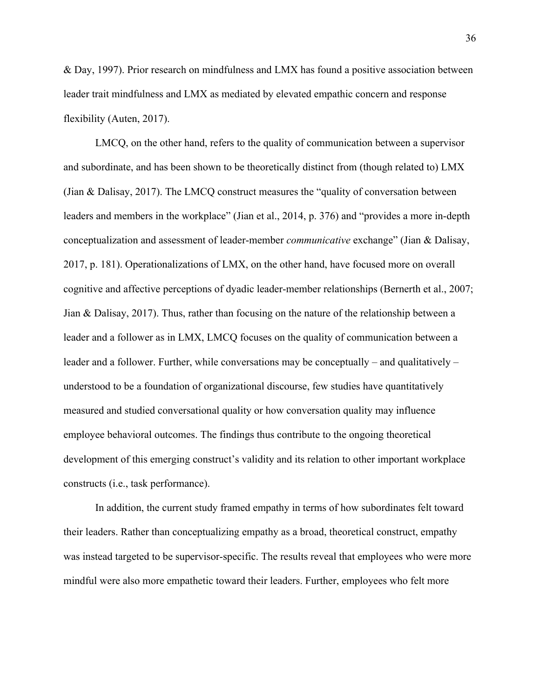& Day, 1997). Prior research on mindfulness and LMX has found a positive association between leader trait mindfulness and LMX as mediated by elevated empathic concern and response flexibility (Auten, 2017).

LMCQ, on the other hand, refers to the quality of communication between a supervisor and subordinate, and has been shown to be theoretically distinct from (though related to) LMX (Jian & Dalisay, 2017). The LMCQ construct measures the "quality of conversation between leaders and members in the workplace" (Jian et al., 2014, p. 376) and "provides a more in-depth conceptualization and assessment of leader-member *communicative* exchange" (Jian & Dalisay, 2017, p. 181). Operationalizations of LMX, on the other hand, have focused more on overall cognitive and affective perceptions of dyadic leader-member relationships (Bernerth et al., 2007; Jian & Dalisay, 2017). Thus, rather than focusing on the nature of the relationship between a leader and a follower as in LMX, LMCQ focuses on the quality of communication between a leader and a follower. Further, while conversations may be conceptually – and qualitatively – understood to be a foundation of organizational discourse, few studies have quantitatively measured and studied conversational quality or how conversation quality may influence employee behavioral outcomes. The findings thus contribute to the ongoing theoretical development of this emerging construct's validity and its relation to other important workplace constructs (i.e., task performance).

In addition, the current study framed empathy in terms of how subordinates felt toward their leaders. Rather than conceptualizing empathy as a broad, theoretical construct, empathy was instead targeted to be supervisor-specific. The results reveal that employees who were more mindful were also more empathetic toward their leaders. Further, employees who felt more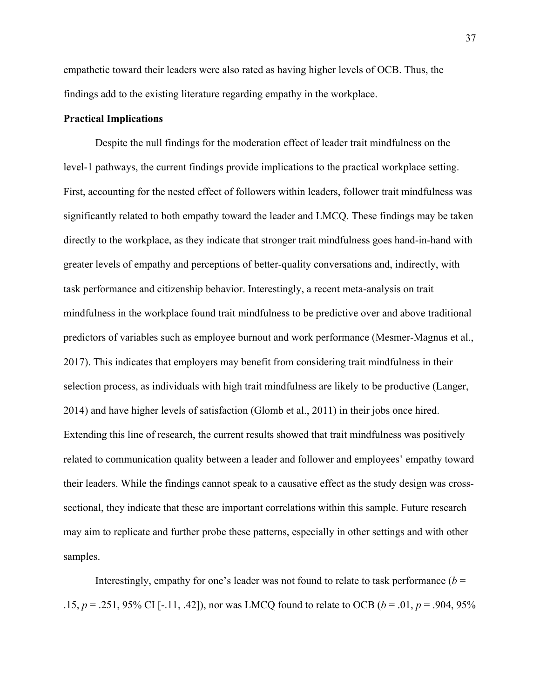empathetic toward their leaders were also rated as having higher levels of OCB. Thus, the findings add to the existing literature regarding empathy in the workplace.

#### **Practical Implications**

Despite the null findings for the moderation effect of leader trait mindfulness on the level-1 pathways, the current findings provide implications to the practical workplace setting. First, accounting for the nested effect of followers within leaders, follower trait mindfulness was significantly related to both empathy toward the leader and LMCQ. These findings may be taken directly to the workplace, as they indicate that stronger trait mindfulness goes hand-in-hand with greater levels of empathy and perceptions of better-quality conversations and, indirectly, with task performance and citizenship behavior. Interestingly, a recent meta-analysis on trait mindfulness in the workplace found trait mindfulness to be predictive over and above traditional predictors of variables such as employee burnout and work performance (Mesmer-Magnus et al., 2017). This indicates that employers may benefit from considering trait mindfulness in their selection process, as individuals with high trait mindfulness are likely to be productive (Langer, 2014) and have higher levels of satisfaction (Glomb et al., 2011) in their jobs once hired. Extending this line of research, the current results showed that trait mindfulness was positively related to communication quality between a leader and follower and employees' empathy toward their leaders. While the findings cannot speak to a causative effect as the study design was crosssectional, they indicate that these are important correlations within this sample. Future research may aim to replicate and further probe these patterns, especially in other settings and with other samples.

Interestingly, empathy for one's leader was not found to relate to task performance  $(b =$ .15, *p* = .251, 95% CI [-.11, .42]), nor was LMCQ found to relate to OCB (*b* = .01, *p* = .904, 95%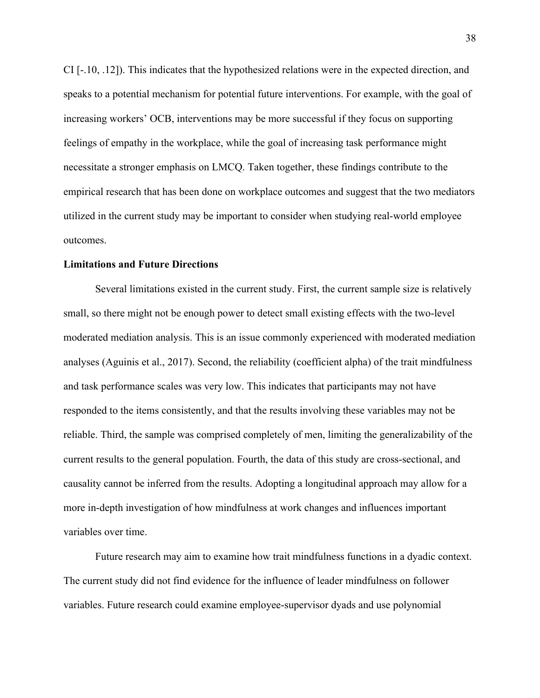CI [-.10, .12]). This indicates that the hypothesized relations were in the expected direction, and speaks to a potential mechanism for potential future interventions. For example, with the goal of increasing workers' OCB, interventions may be more successful if they focus on supporting feelings of empathy in the workplace, while the goal of increasing task performance might necessitate a stronger emphasis on LMCQ. Taken together, these findings contribute to the empirical research that has been done on workplace outcomes and suggest that the two mediators utilized in the current study may be important to consider when studying real-world employee outcomes.

#### **Limitations and Future Directions**

Several limitations existed in the current study. First, the current sample size is relatively small, so there might not be enough power to detect small existing effects with the two-level moderated mediation analysis. This is an issue commonly experienced with moderated mediation analyses (Aguinis et al., 2017). Second, the reliability (coefficient alpha) of the trait mindfulness and task performance scales was very low. This indicates that participants may not have responded to the items consistently, and that the results involving these variables may not be reliable. Third, the sample was comprised completely of men, limiting the generalizability of the current results to the general population. Fourth, the data of this study are cross-sectional, and causality cannot be inferred from the results. Adopting a longitudinal approach may allow for a more in-depth investigation of how mindfulness at work changes and influences important variables over time.

Future research may aim to examine how trait mindfulness functions in a dyadic context. The current study did not find evidence for the influence of leader mindfulness on follower variables. Future research could examine employee-supervisor dyads and use polynomial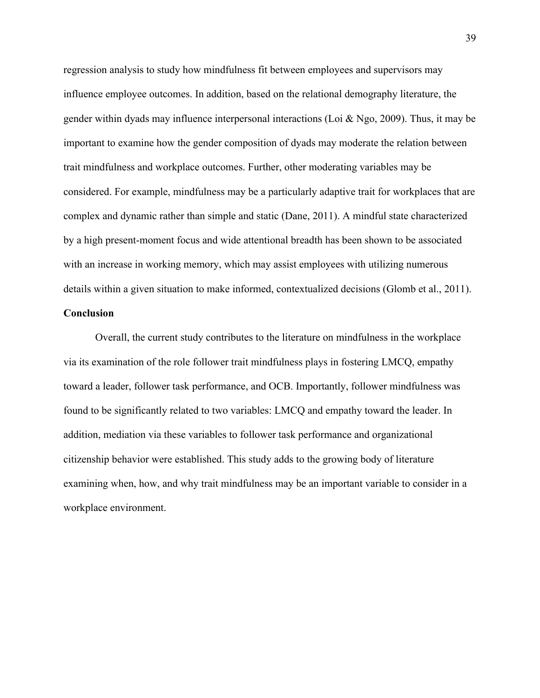regression analysis to study how mindfulness fit between employees and supervisors may influence employee outcomes. In addition, based on the relational demography literature, the gender within dyads may influence interpersonal interactions (Loi & Ngo, 2009). Thus, it may be important to examine how the gender composition of dyads may moderate the relation between trait mindfulness and workplace outcomes. Further, other moderating variables may be considered. For example, mindfulness may be a particularly adaptive trait for workplaces that are complex and dynamic rather than simple and static (Dane, 2011). A mindful state characterized by a high present-moment focus and wide attentional breadth has been shown to be associated with an increase in working memory, which may assist employees with utilizing numerous details within a given situation to make informed, contextualized decisions (Glomb et al., 2011).

#### **Conclusion**

Overall, the current study contributes to the literature on mindfulness in the workplace via its examination of the role follower trait mindfulness plays in fostering LMCQ, empathy toward a leader, follower task performance, and OCB. Importantly, follower mindfulness was found to be significantly related to two variables: LMCQ and empathy toward the leader. In addition, mediation via these variables to follower task performance and organizational citizenship behavior were established. This study adds to the growing body of literature examining when, how, and why trait mindfulness may be an important variable to consider in a workplace environment.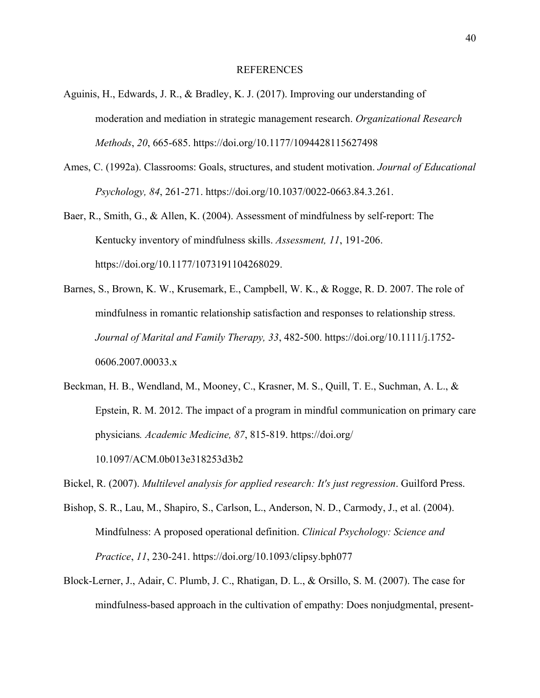#### REFERENCES

- Aguinis, H., Edwards, J. R., & Bradley, K. J. (2017). Improving our understanding of moderation and mediation in strategic management research. *Organizational Research Methods*, *20*, 665-685. https://doi.org/10.1177/1094428115627498
- Ames, C. (1992a). Classrooms: Goals, structures, and student motivation. *Journal of Educational Psychology, 84*, 261-271. https://doi.org/10.1037/0022-0663.84.3.261.
- Baer, R., Smith, G., & Allen, K. (2004). Assessment of mindfulness by self-report: The Kentucky inventory of mindfulness skills. *Assessment, 11*, 191-206. https://doi.org/10.1177/1073191104268029.
- Barnes, S., Brown, K. W., Krusemark, E., Campbell, W. K., & Rogge, R. D. 2007. The role of mindfulness in romantic relationship satisfaction and responses to relationship stress. *Journal of Marital and Family Therapy, 33*, 482-500. https://doi.org/10.1111/j.1752- 0606.2007.00033.x
- Beckman, H. B., Wendland, M., Mooney, C., Krasner, M. S., Quill, T. E., Suchman, A. L., & Epstein, R. M. 2012. The impact of a program in mindful communication on primary care physicians*. Academic Medicine, 87*, 815-819. https://doi.org/ 10.1097/ACM.0b013e318253d3b2
- Bickel, R. (2007). *Multilevel analysis for applied research: It's just regression*. Guilford Press.
- Bishop, S. R., Lau, M., Shapiro, S., Carlson, L., Anderson, N. D., Carmody, J., et al. (2004). Mindfulness: A proposed operational definition. *Clinical Psychology: Science and Practice*, *11*, 230-241. https://doi.org/10.1093/clipsy.bph077
- Block-Lerner, J., Adair, C. Plumb, J. C., Rhatigan, D. L., & Orsillo, S. M. (2007). The case for mindfulness-based approach in the cultivation of empathy: Does nonjudgmental, present-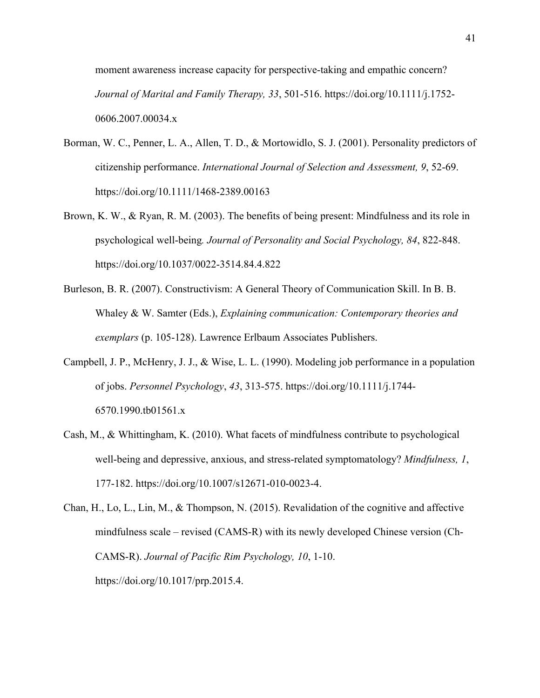moment awareness increase capacity for perspective-taking and empathic concern? *Journal of Marital and Family Therapy, 33*, 501-516. https://doi.org/10.1111/j.1752- 0606.2007.00034.x

- Borman, W. C., Penner, L. A., Allen, T. D., & Mortowidlo, S. J. (2001). Personality predictors of citizenship performance. *International Journal of Selection and Assessment, 9*, 52-69. https://doi.org/10.1111/1468-2389.00163
- Brown, K. W., & Ryan, R. M. (2003). The benefits of being present: Mindfulness and its role in psychological well-being*. Journal of Personality and Social Psychology, 84*, 822-848. https://doi.org/10.1037/0022-3514.84.4.822
- Burleson, B. R. (2007). Constructivism: A General Theory of Communication Skill. In B. B. Whaley & W. Samter (Eds.), *Explaining communication: Contemporary theories and exemplars* (p. 105-128). Lawrence Erlbaum Associates Publishers.
- Campbell, J. P., McHenry, J. J., & Wise, L. L. (1990). Modeling job performance in a population of jobs. *Personnel Psychology*, *43*, 313-575. https://doi.org/10.1111/j.1744- 6570.1990.tb01561.x
- Cash, M., & Whittingham, K. (2010). What facets of mindfulness contribute to psychological well-being and depressive, anxious, and stress-related symptomatology? *Mindfulness, 1*, 177-182. https://doi.org/10.1007/s12671-010-0023-4.

Chan, H., Lo, L., Lin, M., & Thompson, N. (2015). Revalidation of the cognitive and affective mindfulness scale – revised (CAMS-R) with its newly developed Chinese version (Ch-CAMS-R). *Journal of Pacific Rim Psychology, 10*, 1-10. https://doi.org/10.1017/prp.2015.4.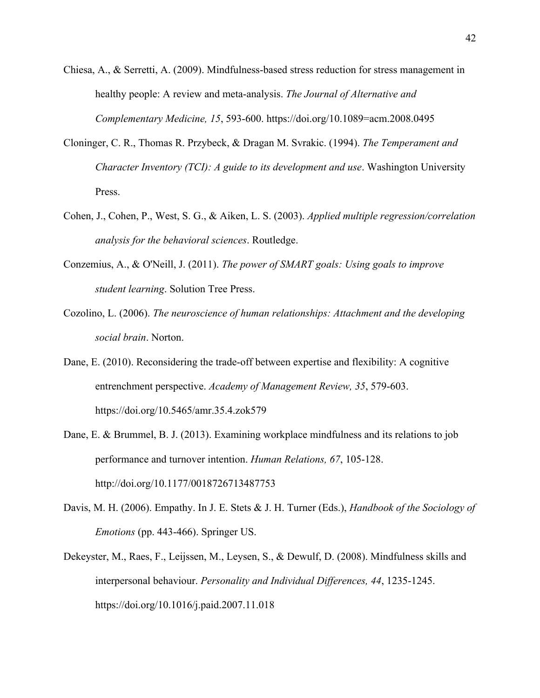- Chiesa, A., & Serretti, A. (2009). Mindfulness-based stress reduction for stress management in healthy people: A review and meta-analysis. *The Journal of Alternative and Complementary Medicine, 15*, 593-600. https://doi.org/10.1089=acm.2008.0495
- Cloninger, C. R., Thomas R. Przybeck, & Dragan M. Svrakic. (1994). *The Temperament and Character Inventory (TCI): A guide to its development and use*. Washington University Press.
- Cohen, J., Cohen, P., West, S. G., & Aiken, L. S. (2003). *Applied multiple regression/correlation analysis for the behavioral sciences*. Routledge.
- Conzemius, A., & O'Neill, J. (2011). *The power of SMART goals: Using goals to improve student learning*. Solution Tree Press.
- Cozolino, L. (2006). *The neuroscience of human relationships: Attachment and the developing social brain*. Norton.
- Dane, E. (2010). Reconsidering the trade-off between expertise and flexibility: A cognitive entrenchment perspective. *Academy of Management Review, 35*, 579-603. https://doi.org/10.5465/amr.35.4.zok579
- Dane, E. & Brummel, B. J. (2013). Examining workplace mindfulness and its relations to job performance and turnover intention. *Human Relations, 67*, 105-128. http://doi.org/10.1177/0018726713487753
- Davis, M. H. (2006). Empathy. In J. E. Stets & J. H. Turner (Eds.), *Handbook of the Sociology of Emotions* (pp. 443-466). Springer US.
- Dekeyster, M., Raes, F., Leijssen, M., Leysen, S., & Dewulf, D. (2008). Mindfulness skills and interpersonal behaviour. *Personality and Individual Differences, 44*, 1235-1245. https://doi.org/10.1016/j.paid.2007.11.018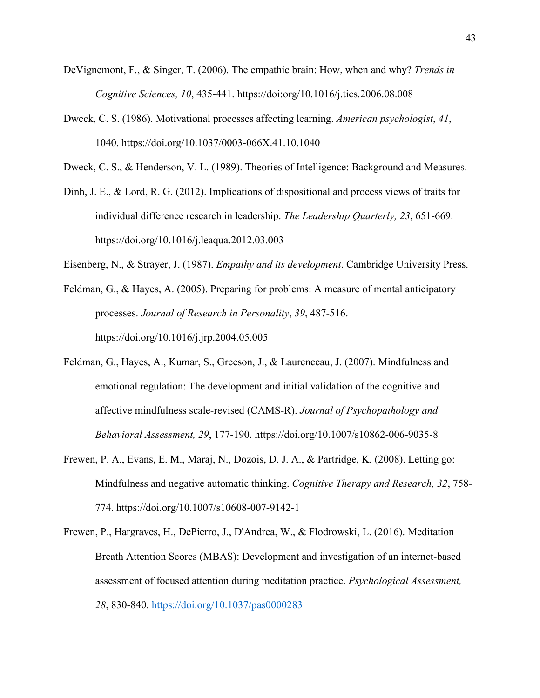- DeVignemont, F., & Singer, T. (2006). The empathic brain: How, when and why? *Trends in Cognitive Sciences, 10*, 435-441. https://doi:org/10.1016/j.tics.2006.08.008
- Dweck, C. S. (1986). Motivational processes affecting learning. *American psychologist*, *41*, 1040. https://doi.org/10.1037/0003-066X.41.10.1040

Dweck, C. S., & Henderson, V. L. (1989). Theories of Intelligence: Background and Measures.

- Dinh, J. E., & Lord, R. G. (2012). Implications of dispositional and process views of traits for individual difference research in leadership. *The Leadership Quarterly, 23*, 651-669. https://doi.org/10.1016/j.leaqua.2012.03.003
- Eisenberg, N., & Strayer, J. (1987). *Empathy and its development*. Cambridge University Press.
- Feldman, G., & Hayes, A. (2005). Preparing for problems: A measure of mental anticipatory processes. *Journal of Research in Personality*, *39*, 487-516. https://doi.org/10.1016/j.jrp.2004.05.005
- Feldman, G., Hayes, A., Kumar, S., Greeson, J., & Laurenceau, J. (2007). Mindfulness and emotional regulation: The development and initial validation of the cognitive and affective mindfulness scale-revised (CAMS-R). *Journal of Psychopathology and Behavioral Assessment, 29*, 177-190. https://doi.org/10.1007/s10862-006-9035-8
- Frewen, P. A., Evans, E. M., Maraj, N., Dozois, D. J. A., & Partridge, K. (2008). Letting go: Mindfulness and negative automatic thinking. *Cognitive Therapy and Research, 32*, 758- 774. https://doi.org/10.1007/s10608-007-9142-1
- Frewen, P., Hargraves, H., DePierro, J., D'Andrea, W., & Flodrowski, L. (2016). Meditation Breath Attention Scores (MBAS): Development and investigation of an internet-based assessment of focused attention during meditation practice. *Psychological Assessment, 28*, 830-840. https://doi.org/10.1037/pas0000283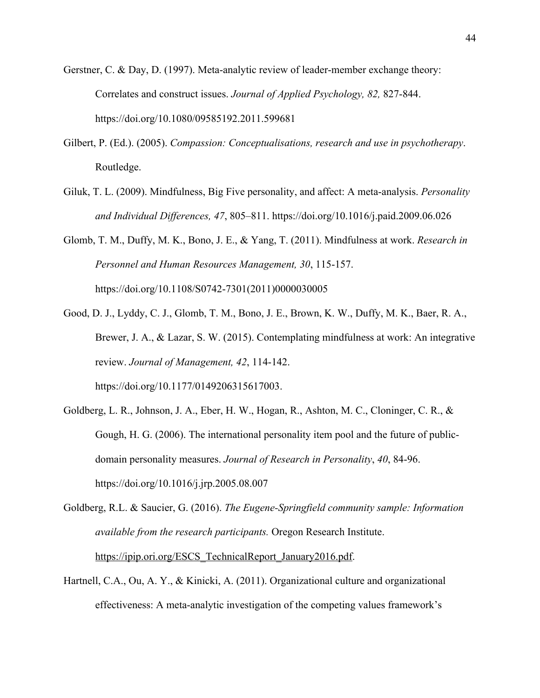Gerstner, C. & Day, D. (1997). Meta-analytic review of leader-member exchange theory: Correlates and construct issues. *Journal of Applied Psychology, 82,* 827-844. https://doi.org/10.1080/09585192.2011.599681

- Gilbert, P. (Ed.). (2005). *Compassion: Conceptualisations, research and use in psychotherapy*. Routledge.
- Giluk, T. L. (2009). Mindfulness, Big Five personality, and affect: A meta-analysis. *Personality and Individual Differences, 47*, 805–811. https://doi.org/10.1016/j.paid.2009.06.026

Glomb, T. M., Duffy, M. K., Bono, J. E., & Yang, T. (2011). Mindfulness at work. *Research in Personnel and Human Resources Management, 30*, 115-157. https://doi.org/10.1108/S0742-7301(2011)0000030005

- Good, D. J., Lyddy, C. J., Glomb, T. M., Bono, J. E., Brown, K. W., Duffy, M. K., Baer, R. A., Brewer, J. A., & Lazar, S. W. (2015). Contemplating mindfulness at work: An integrative review. *Journal of Management, 42*, 114-142. https://doi.org/10.1177/0149206315617003.
- Goldberg, L. R., Johnson, J. A., Eber, H. W., Hogan, R., Ashton, M. C., Cloninger, C. R., & Gough, H. G. (2006). The international personality item pool and the future of publicdomain personality measures. *Journal of Research in Personality*, *40*, 84-96. https://doi.org/10.1016/j.jrp.2005.08.007
- Goldberg, R.L. & Saucier, G. (2016). *The Eugene-Springfield community sample: Information available from the research participants.* Oregon Research Institute. https://ipip.ori.org/ESCS\_TechnicalReport\_January2016.pdf.
- Hartnell, C.A., Ou, A. Y., & Kinicki, A. (2011). Organizational culture and organizational effectiveness: A meta-analytic investigation of the competing values framework's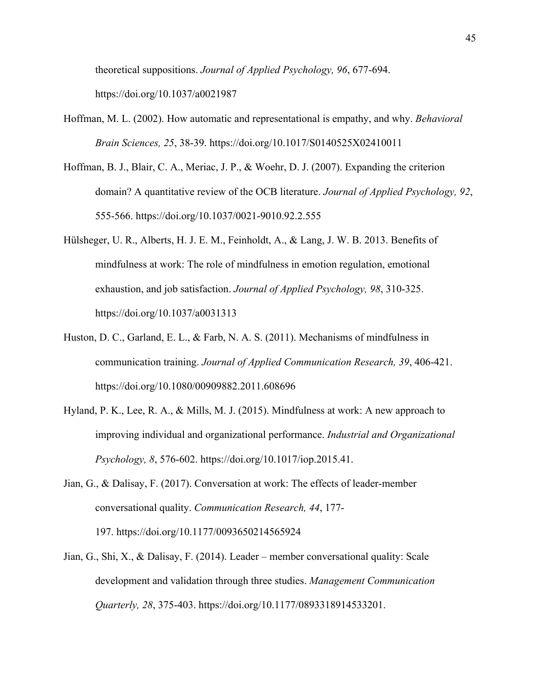theoretical suppositions. *Journal of Applied Psychology, 96*, 677-694. https://doi.org/10.1037/a0021987

- Hoffman, M. L. (2002). How automatic and representational is empathy, and why. *Behavioral Brain Sciences, 25*, 38-39. https://doi.org/10.1017/S0140525X02410011
- Hoffman, B. J., Blair, C. A., Meriac, J. P., & Woehr, D. J. (2007). Expanding the criterion domain? A quantitative review of the OCB literature. *Journal of Applied Psychology, 92*, 555-566. https://doi.org/10.1037/0021-9010.92.2.555
- Hülsheger, U. R., Alberts, H. J. E. M., Feinholdt, A., & Lang, J. W. B. 2013. Benefits of mindfulness at work: The role of mindfulness in emotion regulation, emotional exhaustion, and job satisfaction. *Journal of Applied Psychology, 98*, 310-325. https://doi.org/10.1037/a0031313
- Huston, D. C., Garland, E. L., & Farb, N. A. S. (2011). Mechanisms of mindfulness in communication training. *Journal of Applied Communication Research, 39*, 406-421. https://doi.org/10.1080/00909882.2011.608696
- Hyland, P. K., Lee, R. A., & Mills, M. J. (2015). Mindfulness at work: A new approach to improving individual and organizational performance. *Industrial and Organizational Psychology, 8*, 576-602. https://doi.org/10.1017/iop.2015.41.
- Jian, G., & Dalisay, F. (2017). Conversation at work: The effects of leader-member conversational quality. *Communication Research, 44*, 177- 197. https://doi.org/10.1177/0093650214565924
- Jian, G., Shi, X., & Dalisay, F. (2014). Leader member conversational quality: Scale development and validation through three studies. *Management Communication Quarterly, 28*, 375-403. https://doi.org/10.1177/0893318914533201.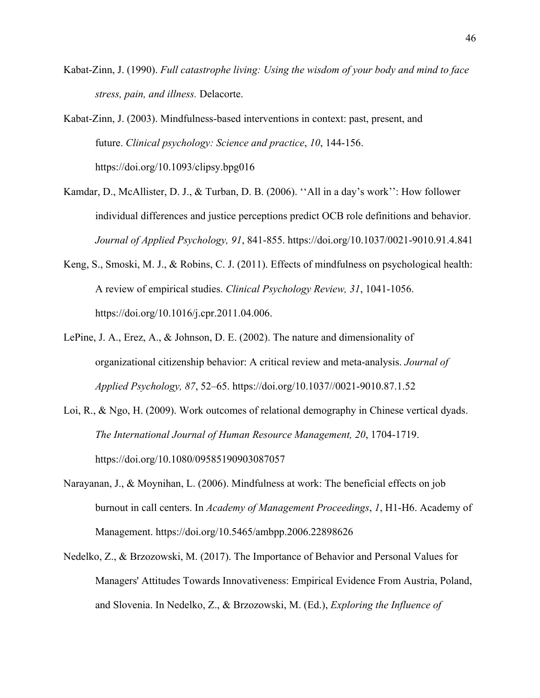- Kabat-Zinn, J. (1990). *Full catastrophe living: Using the wisdom of your body and mind to face stress, pain, and illness.* Delacorte.
- Kabat-Zinn, J. (2003). Mindfulness-based interventions in context: past, present, and future. *Clinical psychology: Science and practice*, *10*, 144-156. https://doi.org/10.1093/clipsy.bpg016
- Kamdar, D., McAllister, D. J., & Turban, D. B. (2006). ''All in a day's work'': How follower individual differences and justice perceptions predict OCB role definitions and behavior. *Journal of Applied Psychology, 91*, 841-855. https://doi.org/10.1037/0021-9010.91.4.841
- Keng, S., Smoski, M. J., & Robins, C. J. (2011). Effects of mindfulness on psychological health: A review of empirical studies. *Clinical Psychology Review, 31*, 1041-1056. https://doi.org/10.1016/j.cpr.2011.04.006.
- LePine, J. A., Erez, A., & Johnson, D. E. (2002). The nature and dimensionality of organizational citizenship behavior: A critical review and meta-analysis. *Journal of Applied Psychology, 87*, 52–65. https://doi.org/10.1037//0021-9010.87.1.52
- Loi, R., & Ngo, H. (2009). Work outcomes of relational demography in Chinese vertical dyads. *The International Journal of Human Resource Management, 20*, 1704-1719. https://doi.org/10.1080/09585190903087057
- Narayanan, J., & Moynihan, L. (2006). Mindfulness at work: The beneficial effects on job burnout in call centers. In *Academy of Management Proceedings*, *1*, H1-H6. Academy of Management. https://doi.org/10.5465/ambpp.2006.22898626
- Nedelko, Z., & Brzozowski, M. (2017). The Importance of Behavior and Personal Values for Managers' Attitudes Towards Innovativeness: Empirical Evidence From Austria, Poland, and Slovenia. In Nedelko, Z., & Brzozowski, M. (Ed.), *Exploring the Influence of*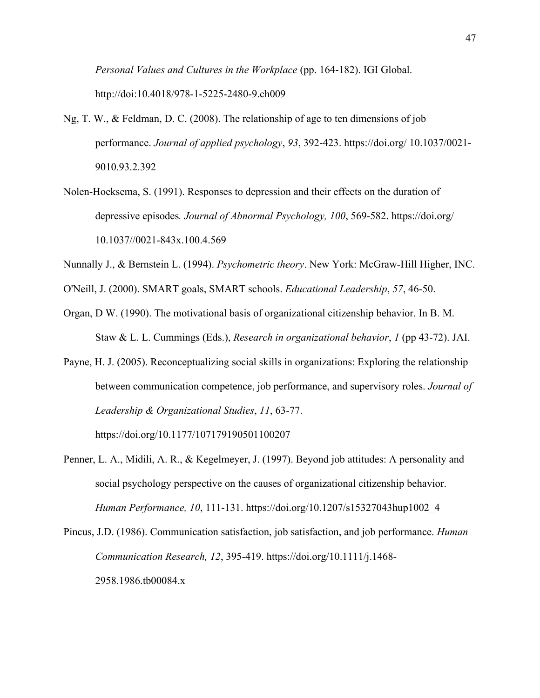*Personal Values and Cultures in the Workplace* (pp. 164-182). IGI Global. http://doi:10.4018/978-1-5225-2480-9.ch009

- Ng, T. W., & Feldman, D. C. (2008). The relationship of age to ten dimensions of job performance. *Journal of applied psychology*, *93*, 392-423. https://doi.org/ 10.1037/0021- 9010.93.2.392
- Nolen-Hoeksema, S. (1991). Responses to depression and their effects on the duration of depressive episodes*. Journal of Abnormal Psychology, 100*, 569-582. https://doi.org/ 10.1037//0021-843x.100.4.569
- Nunnally J., & Bernstein L. (1994). *Psychometric theory*. New York: McGraw-Hill Higher, INC.
- O'Neill, J. (2000). SMART goals, SMART schools. *Educational Leadership*, *57*, 46-50.
- Organ, D W. (1990). The motivational basis of organizational citizenship behavior. In B. M. Staw & L. L. Cummings (Eds.), *Research in organizational behavior*, *1* (pp 43-72). JAI.
- Payne, H. J. (2005). Reconceptualizing social skills in organizations: Exploring the relationship between communication competence, job performance, and supervisory roles. *Journal of Leadership & Organizational Studies*, *11*, 63-77.

https://doi.org/10.1177/107179190501100207

- Penner, L. A., Midili, A. R., & Kegelmeyer, J. (1997). Beyond job attitudes: A personality and social psychology perspective on the causes of organizational citizenship behavior. *Human Performance, 10*, 111-131. https://doi.org/10.1207/s15327043hup1002\_4
- Pincus, J.D. (1986). Communication satisfaction, job satisfaction, and job performance. *Human Communication Research, 12*, 395-419. https://doi.org/10.1111/j.1468- 2958.1986.tb00084.x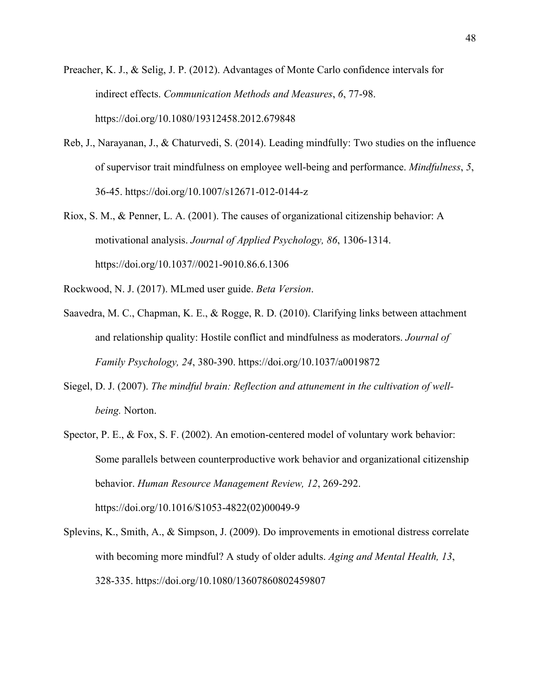Preacher, K. J., & Selig, J. P. (2012). Advantages of Monte Carlo confidence intervals for indirect effects. *Communication Methods and Measures*, *6*, 77-98. https://doi.org/10.1080/19312458.2012.679848

- Reb, J., Narayanan, J., & Chaturvedi, S. (2014). Leading mindfully: Two studies on the influence of supervisor trait mindfulness on employee well-being and performance. *Mindfulness*, *5*, 36-45. https://doi.org/10.1007/s12671-012-0144-z
- Riox, S. M., & Penner, L. A. (2001). The causes of organizational citizenship behavior: A motivational analysis. *Journal of Applied Psychology, 86*, 1306-1314. https://doi.org/10.1037//0021-9010.86.6.1306
- Rockwood, N. J. (2017). MLmed user guide. *Beta Version*.
- Saavedra, M. C., Chapman, K. E., & Rogge, R. D. (2010). Clarifying links between attachment and relationship quality: Hostile conflict and mindfulness as moderators. *Journal of Family Psychology, 24*, 380-390. https://doi.org/10.1037/a0019872
- Siegel, D. J. (2007). *The mindful brain: Reflection and attunement in the cultivation of wellbeing.* Norton.
- Spector, P. E., & Fox, S. F. (2002). An emotion-centered model of voluntary work behavior: Some parallels between counterproductive work behavior and organizational citizenship behavior. *Human Resource Management Review, 12*, 269-292. https://doi.org/10.1016/S1053-4822(02)00049-9
- Splevins, K., Smith, A., & Simpson, J. (2009). Do improvements in emotional distress correlate with becoming more mindful? A study of older adults. *Aging and Mental Health, 13*, 328-335. https://doi.org/10.1080/13607860802459807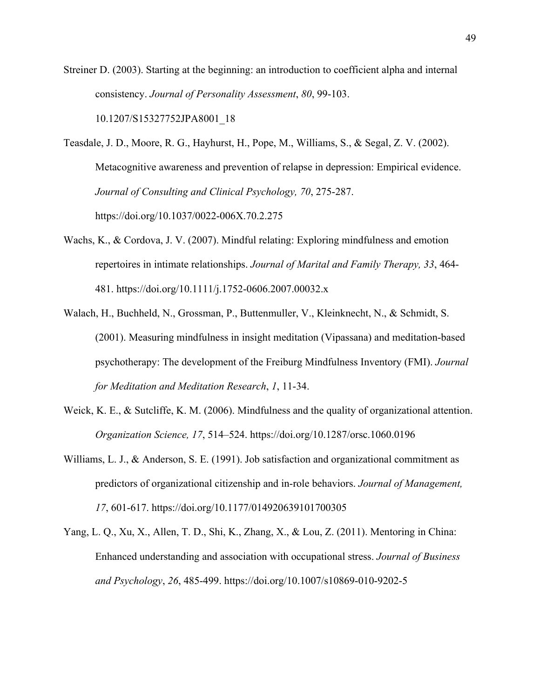Streiner D. (2003). Starting at the beginning: an introduction to coefficient alpha and internal consistency. *Journal of Personality Assessment*, *80*, 99-103. 10.1207/S15327752JPA8001\_18

Teasdale, J. D., Moore, R. G., Hayhurst, H., Pope, M., Williams, S., & Segal, Z. V. (2002). Metacognitive awareness and prevention of relapse in depression: Empirical evidence. *Journal of Consulting and Clinical Psychology, 70*, 275-287. https://doi.org/10.1037/0022-006X.70.2.275

- Wachs, K., & Cordova, J. V. (2007). Mindful relating: Exploring mindfulness and emotion repertoires in intimate relationships. *Journal of Marital and Family Therapy, 33*, 464- 481. https://doi.org/10.1111/j.1752-0606.2007.00032.x
- Walach, H., Buchheld, N., Grossman, P., Buttenmuller, V., Kleinknecht, N., & Schmidt, S. (2001). Measuring mindfulness in insight meditation (Vipassana) and meditation-based psychotherapy: The development of the Freiburg Mindfulness Inventory (FMI). *Journal for Meditation and Meditation Research*, *1*, 11-34.
- Weick, K. E., & Sutcliffe, K. M. (2006). Mindfulness and the quality of organizational attention. *Organization Science, 17*, 514–524. https://doi.org/10.1287/orsc.1060.0196
- Williams, L. J., & Anderson, S. E. (1991). Job satisfaction and organizational commitment as predictors of organizational citizenship and in-role behaviors. *Journal of Management, 17*, 601-617. https://doi.org/10.1177/014920639101700305
- Yang, L. Q., Xu, X., Allen, T. D., Shi, K., Zhang, X., & Lou, Z. (2011). Mentoring in China: Enhanced understanding and association with occupational stress. *Journal of Business and Psychology*, *26*, 485-499. https://doi.org/10.1007/s10869-010-9202-5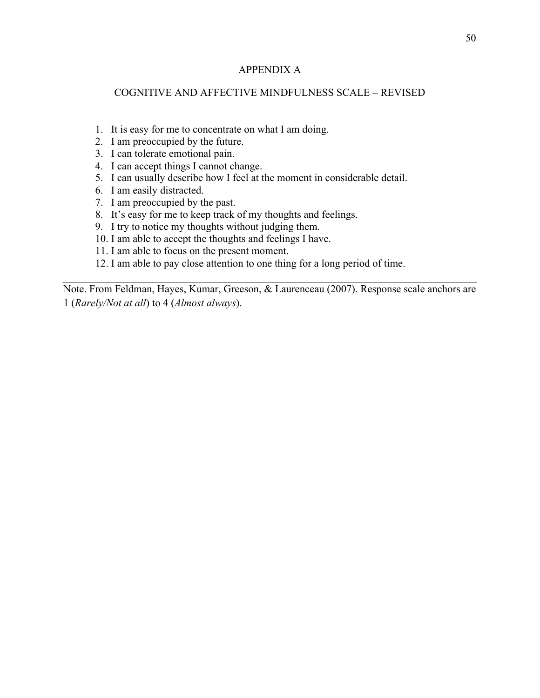#### APPENDIX A

#### COGNITIVE AND AFFECTIVE MINDFULNESS SCALE – REVISED

- 1. It is easy for me to concentrate on what I am doing.
- 2. I am preoccupied by the future.
- 3. I can tolerate emotional pain.
- 4. I can accept things I cannot change.
- 5. I can usually describe how I feel at the moment in considerable detail.
- 6. I am easily distracted.
- 7. I am preoccupied by the past.
- 8. It's easy for me to keep track of my thoughts and feelings.
- 9. I try to notice my thoughts without judging them.
- 10. I am able to accept the thoughts and feelings I have.
- 11. I am able to focus on the present moment.
- 12. I am able to pay close attention to one thing for a long period of time.

Note. From Feldman, Hayes, Kumar, Greeson, & Laurenceau (2007). Response scale anchors are 1 (*Rarely/Not at all*) to 4 (*Almost always*).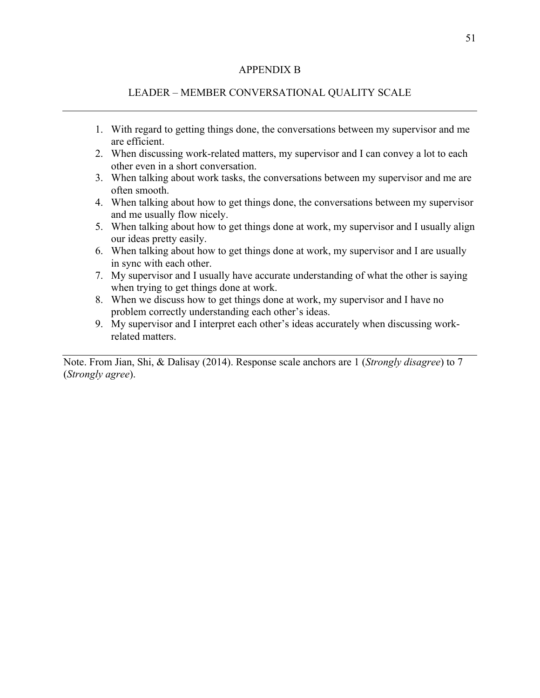#### APPENDIX B

#### LEADER – MEMBER CONVERSATIONAL QUALITY SCALE

- 1. With regard to getting things done, the conversations between my supervisor and me are efficient.
- 2. When discussing work-related matters, my supervisor and I can convey a lot to each other even in a short conversation.
- 3. When talking about work tasks, the conversations between my supervisor and me are often smooth.
- 4. When talking about how to get things done, the conversations between my supervisor and me usually flow nicely.
- 5. When talking about how to get things done at work, my supervisor and I usually align our ideas pretty easily.
- 6. When talking about how to get things done at work, my supervisor and I are usually in sync with each other.
- 7. My supervisor and I usually have accurate understanding of what the other is saying when trying to get things done at work.
- 8. When we discuss how to get things done at work, my supervisor and I have no problem correctly understanding each other's ideas.
- 9. My supervisor and I interpret each other's ideas accurately when discussing workrelated matters.

Note. From Jian, Shi, & Dalisay (2014). Response scale anchors are 1 (*Strongly disagree*) to 7 (*Strongly agree*).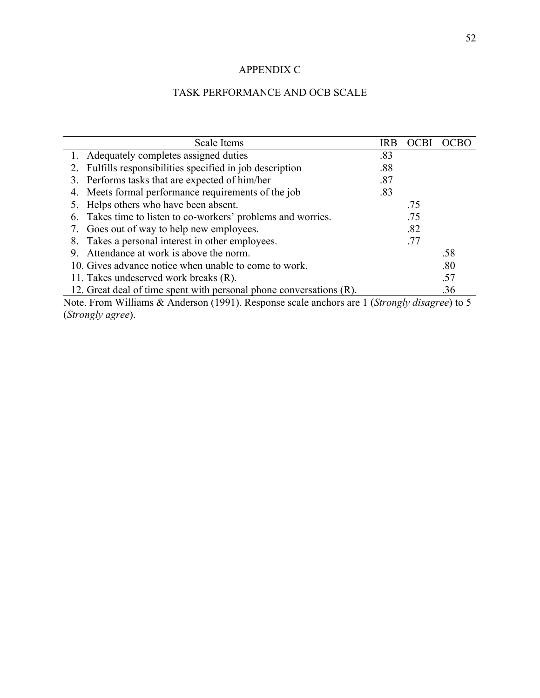## APPENDIX C

### TASK PERFORMANCE AND OCB SCALE

| Scale Items                                                                                  | <b>IRB</b> | <b>OCBI</b> | OCBO |
|----------------------------------------------------------------------------------------------|------------|-------------|------|
| 1. Adequately completes assigned duties                                                      | .83        |             |      |
| Fulfills responsibilities specified in job description<br>2.                                 | .88        |             |      |
| Performs tasks that are expected of him/her<br>3.                                            | .87        |             |      |
| Meets formal performance requirements of the job<br>4.                                       | .83        |             |      |
| Helps others who have been absent.<br>5.                                                     |            | .75         |      |
| Takes time to listen to co-workers' problems and worries.<br>6.                              |            | .75         |      |
| Goes out of way to help new employees.<br>7.                                                 |            | .82         |      |
| Takes a personal interest in other employees.<br>8.                                          |            | .77         |      |
| Attendance at work is above the norm.<br>9.                                                  |            |             | .58  |
| 10. Gives advance notice when unable to come to work.                                        |            |             | .80  |
| 11. Takes undeserved work breaks (R).                                                        |            |             | .57  |
| 12. Great deal of time spent with personal phone conversations (R).                          |            |             | .36  |
| Note. From Williams & Anderson (1991). Response scale anchors are 1 (Strongly disagree) to 5 |            |             |      |

(*Strongly agree*).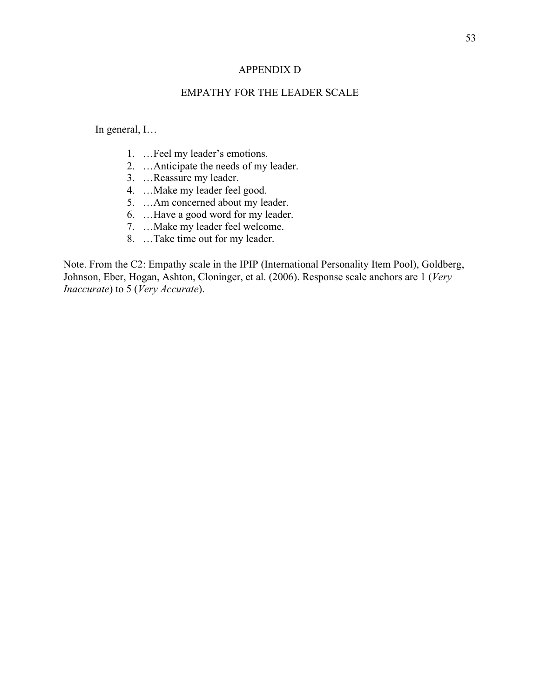#### APPENDIX D

### EMPATHY FOR THE LEADER SCALE

In general, I…

- 1. …Feel my leader's emotions.
- 2. …Anticipate the needs of my leader.
- 3. …Reassure my leader.
- 4. …Make my leader feel good.
- 5. …Am concerned about my leader.
- 6. …Have a good word for my leader.
- 7. …Make my leader feel welcome.
- 8. …Take time out for my leader.

Note. From the C2: Empathy scale in the IPIP (International Personality Item Pool), Goldberg, Johnson, Eber, Hogan, Ashton, Cloninger, et al. (2006). Response scale anchors are 1 (*Very Inaccurate*) to 5 (*Very Accurate*).